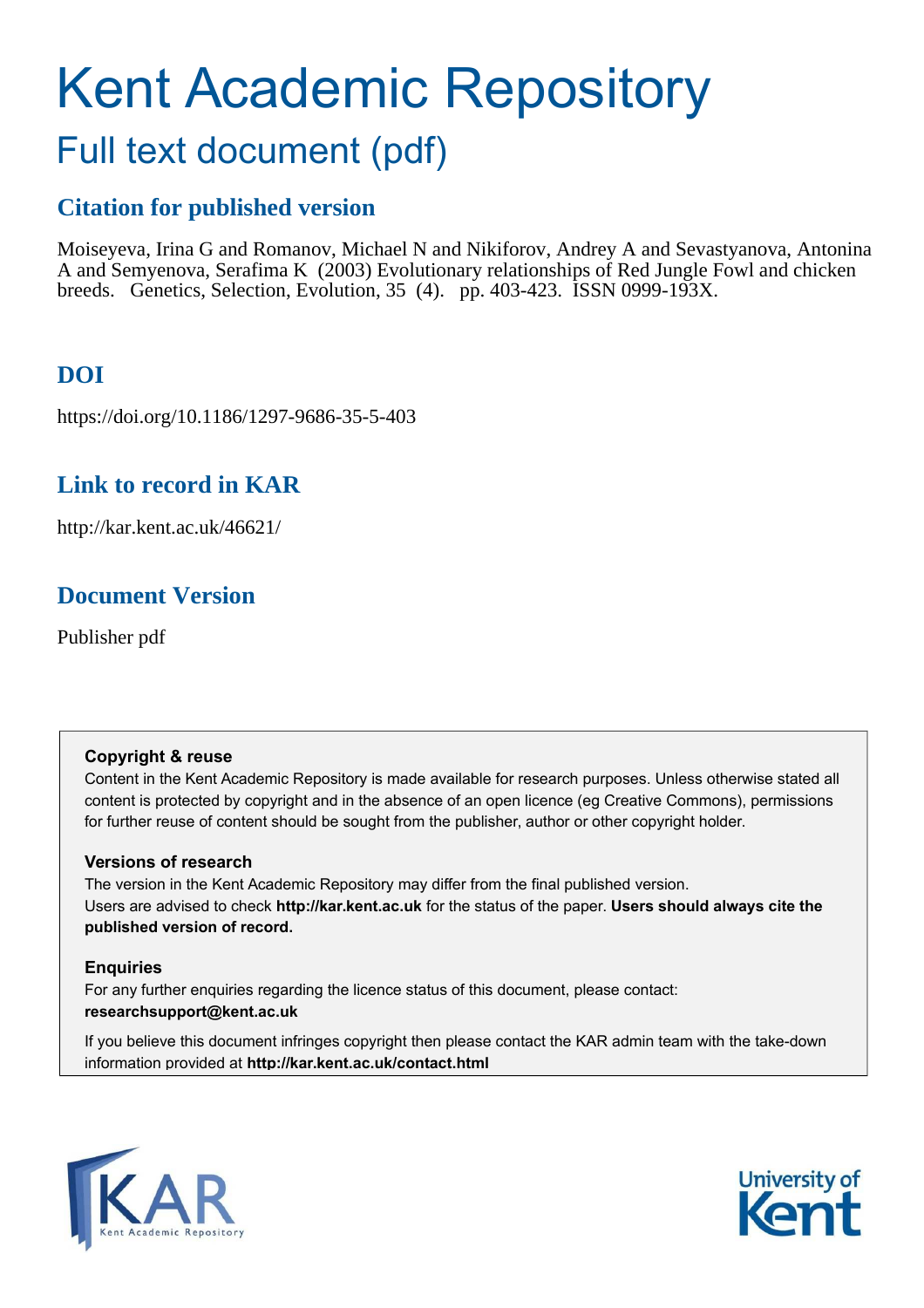# Kent Academic Repository

## Full text document (pdf)

## **Citation for published version**

Moiseyeva, Irina G and Romanov, Michael N and Nikiforov, Andrey A and Sevastyanova, Antonina A and Semyenova, Serafima K (2003) Evolutionary relationships of Red Jungle Fowl and chicken breeds. Genetics, Selection, Evolution, 35 (4). pp. 403-423. ISSN 0999-193X.

## **DOI**

https://doi.org/10.1186/1297-9686-35-5-403

## **Link to record in KAR**

http://kar.kent.ac.uk/46621/

## **Document Version**

Publisher pdf

#### **Copyright & reuse**

Content in the Kent Academic Repository is made available for research purposes. Unless otherwise stated all content is protected by copyright and in the absence of an open licence (eg Creative Commons), permissions for further reuse of content should be sought from the publisher, author or other copyright holder.

#### **Versions of research**

The version in the Kent Academic Repository may differ from the final published version. Users are advised to check **http://kar.kent.ac.uk** for the status of the paper. **Users should always cite the published version of record.**

#### **Enquiries**

For any further enquiries regarding the licence status of this document, please contact: **researchsupport@kent.ac.uk**

If you believe this document infringes copyright then please contact the KAR admin team with the take-down information provided at **http://kar.kent.ac.uk/contact.html**



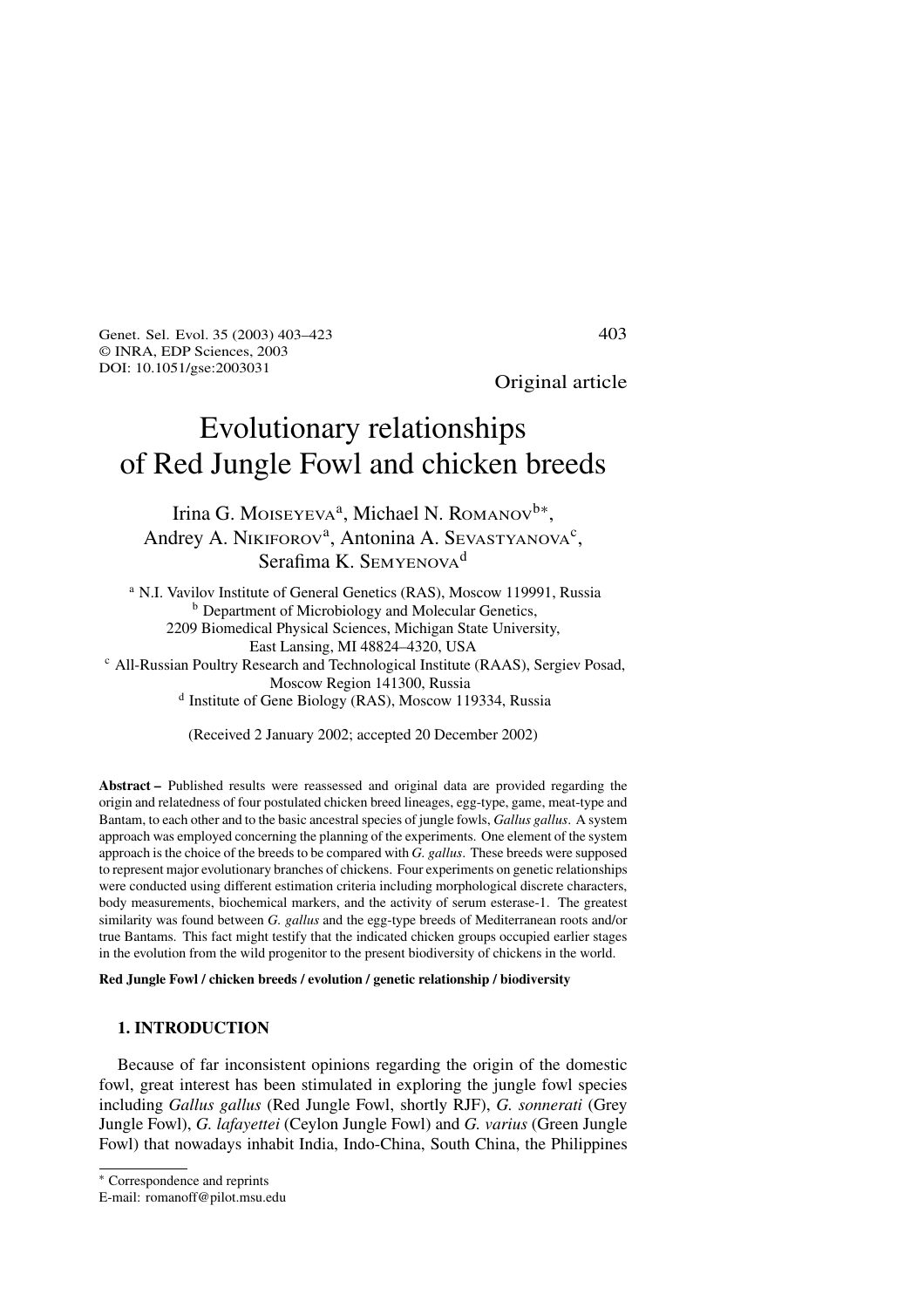## Evolutionary relationships of Red Jungle Fowl and chicken breeds

Irina G. MOISEYEVA<sup>a</sup>, Michael N. ROMANOV<sup>b\*</sup>, Andrey A. NIKIFOROV<sup>a</sup>, Antonina A. SEVASTYANOVA<sup>c</sup>, Serafima K. SEMYENOVA<sup>d</sup>

<sup>a</sup> N.I. Vavilov Institute of General Genetics (RAS), Moscow 119991, Russia **b** Department of Microbiology and Molecular Genetics, 2209 Biomedical Physical Sciences, Michigan State University, East Lansing, MI 48824–4320, USA <sup>c</sup> All-Russian Poultry Research and Technological Institute (RAAS), Sergiev Posad, Moscow Region 141300, Russia <sup>d</sup> Institute of Gene Biology (RAS), Moscow 119334, Russia

(Received 2 January 2002; accepted 20 December 2002)

**Abstract –** Published results were reassessed and original data are provided regarding the origin and relatedness of four postulated chicken breed lineages, egg-type, game, meat-type and Bantam, to each other and to the basic ancestral species of jungle fowls, *Gallus gallus*. A system approach was employed concerning the planning of the experiments. One element of the system approach is the choice of the breeds to be compared with *G. gallus*. These breeds were supposed to represent major evolutionary branches of chickens. Four experiments on genetic relationships were conducted using different estimation criteria including morphological discrete characters, body measurements, biochemical markers, and the activity of serum esterase-1. The greatest similarity was found between *G. gallus* and the egg-type breeds of Mediterranean roots and/or true Bantams. This fact might testify that the indicated chicken groups occupied earlier stages in the evolution from the wild progenitor to the present biodiversity of chickens in the world.

#### **Red Jungle Fowl / chicken breeds / evolution / genetic relationship / biodiversity**

#### **1. INTRODUCTION**

Because of far inconsistent opinions regarding the origin of the domestic fowl, great interest has been stimulated in exploring the jungle fowl species including *Gallus gallus* (Red Jungle Fowl, shortly RJF), *G. sonnerati* (Grey Jungle Fowl), *G. lafayettei* (Ceylon Jungle Fowl) and *G. varius* (Green Jungle Fowl) that nowadays inhabit India, Indo-China, South China, the Philippines

<sup>∗</sup> Correspondence and reprints

E-mail: romanoff@pilot.msu.edu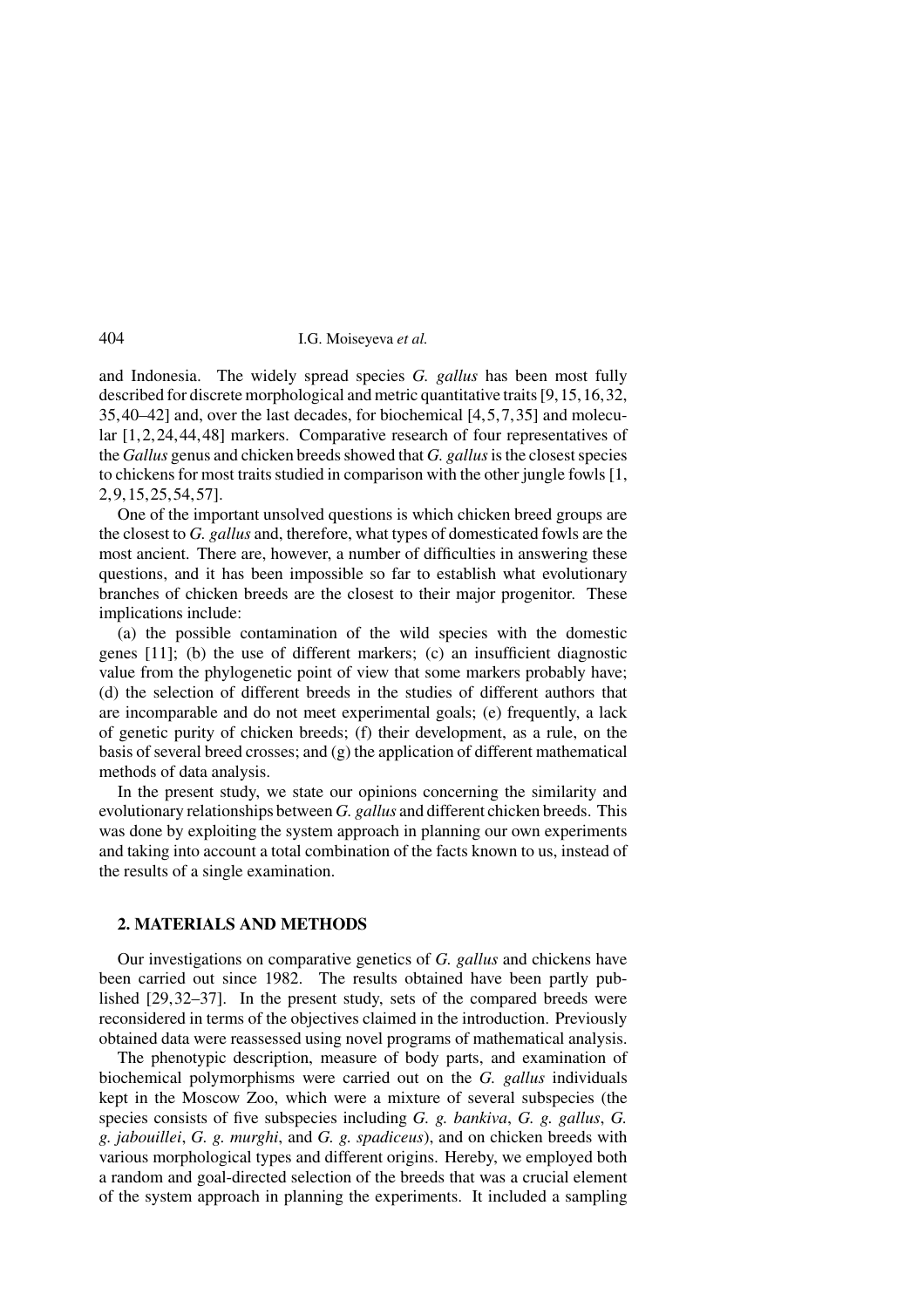and Indonesia. The widely spread species *G. gallus* has been most fully described for discrete morphological and metric quantitative traits [9,15,16,32, 35,40–42] and, over the last decades, for biochemical [4,5,7,35] and molecular [1,2,24,44,48] markers. Comparative research of four representatives of the *Gallus* genus and chicken breeds showed that *G. gallus*is the closest species to chickens for most traits studied in comparison with the other jungle fowls [1, 2,9,15,25,54,57].

One of the important unsolved questions is which chicken breed groups are the closest to *G. gallus* and, therefore, what types of domesticated fowls are the most ancient. There are, however, a number of difficulties in answering these questions, and it has been impossible so far to establish what evolutionary branches of chicken breeds are the closest to their major progenitor. These implications include:

(a) the possible contamination of the wild species with the domestic genes [11]; (b) the use of different markers; (c) an insufficient diagnostic value from the phylogenetic point of view that some markers probably have; (d) the selection of different breeds in the studies of different authors that are incomparable and do not meet experimental goals; (e) frequently, a lack of genetic purity of chicken breeds; (f) their development, as a rule, on the basis of several breed crosses; and  $(g)$  the application of different mathematical methods of data analysis.

In the present study, we state our opinions concerning the similarity and evolutionary relationships between *G. gallus* and different chicken breeds. This was done by exploiting the system approach in planning our own experiments and taking into account a total combination of the facts known to us, instead of the results of a single examination.

#### **2. MATERIALS AND METHODS**

Our investigations on comparative genetics of *G. gallus* and chickens have been carried out since 1982. The results obtained have been partly published [29,32–37]. In the present study, sets of the compared breeds were reconsidered in terms of the objectives claimed in the introduction. Previously obtained data were reassessed using novel programs of mathematical analysis.

The phenotypic description, measure of body parts, and examination of biochemical polymorphisms were carried out on the *G. gallus* individuals kept in the Moscow Zoo, which were a mixture of several subspecies (the species consists of five subspecies including *G. g. bankiva*, *G. g. gallus*, *G. g. jabouillei*, *G. g. murghi*, and *G. g. spadiceus*), and on chicken breeds with various morphological types and different origins. Hereby, we employed both a random and goal-directed selection of the breeds that was a crucial element of the system approach in planning the experiments. It included a sampling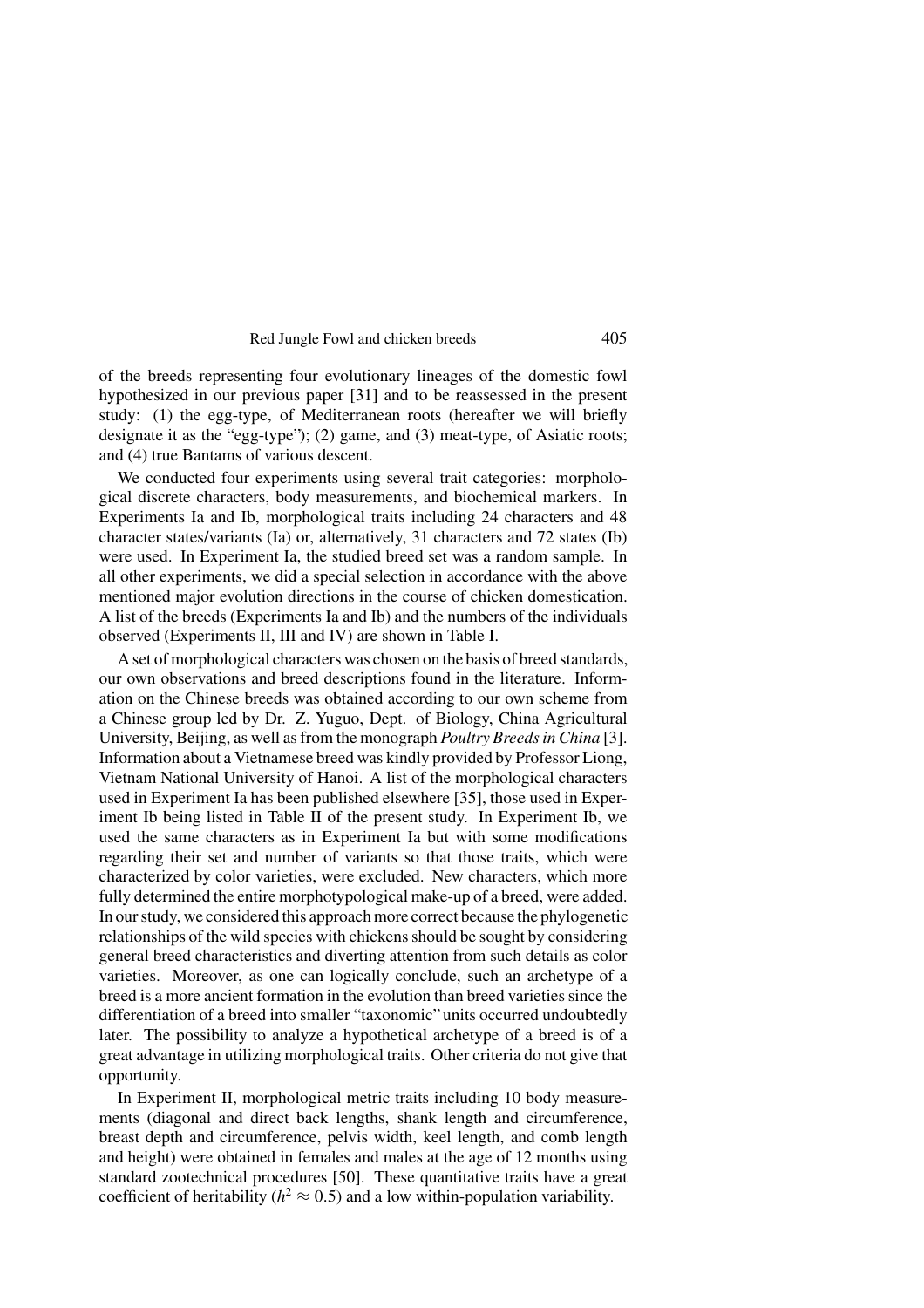of the breeds representing four evolutionary lineages of the domestic fowl hypothesized in our previous paper [31] and to be reassessed in the present study: (1) the egg-type, of Mediterranean roots (hereafter we will briefly designate it as the "egg-type"); (2) game, and (3) meat-type, of Asiatic roots; and (4) true Bantams of various descent.

We conducted four experiments using several trait categories: morphological discrete characters, body measurements, and biochemical markers. In Experiments Ia and Ib, morphological traits including 24 characters and 48 character states/variants (Ia) or, alternatively, 31 characters and 72 states (Ib) were used. In Experiment Ia, the studied breed set was a random sample. In all other experiments, we did a special selection in accordance with the above mentioned major evolution directions in the course of chicken domestication. A list of the breeds (Experiments Ia and Ib) and the numbers of the individuals observed (Experiments II, III and IV) are shown in Table I.

A set of morphological characters was chosen on the basis of breed standards, our own observations and breed descriptions found in the literature. Information on the Chinese breeds was obtained according to our own scheme from a Chinese group led by Dr. Z. Yuguo, Dept. of Biology, China Agricultural University, Beijing, as well as from the monograph *Poultry Breeds in China* [3]. Information about a Vietnamese breed was kindly provided by Professor Liong, Vietnam National University of Hanoi. A list of the morphological characters used in Experiment Ia has been published elsewhere [35], those used in Experiment Ib being listed in Table II of the present study. In Experiment Ib, we used the same characters as in Experiment Ia but with some modifications regarding their set and number of variants so that those traits, which were characterized by color varieties, were excluded. New characters, which more fully determined the entire morphotypological make-up of a breed, were added. In our study, we considered this approach more correct because the phylogenetic relationships of the wild species with chickens should be sought by considering general breed characteristics and diverting attention from such details as color varieties. Moreover, as one can logically conclude, such an archetype of a breed is a more ancient formation in the evolution than breed varieties since the differentiation of a breed into smaller "taxonomic" units occurred undoubtedly later. The possibility to analyze a hypothetical archetype of a breed is of a great advantage in utilizing morphological traits. Other criteria do not give that opportunity.

In Experiment II, morphological metric traits including 10 body measurements (diagonal and direct back lengths, shank length and circumference, breast depth and circumference, pelvis width, keel length, and comb length and height) were obtained in females and males at the age of 12 months using standard zootechnical procedures [50]. These quantitative traits have a great coefficient of heritability ( $h^2 \approx 0.5$ ) and a low within-population variability.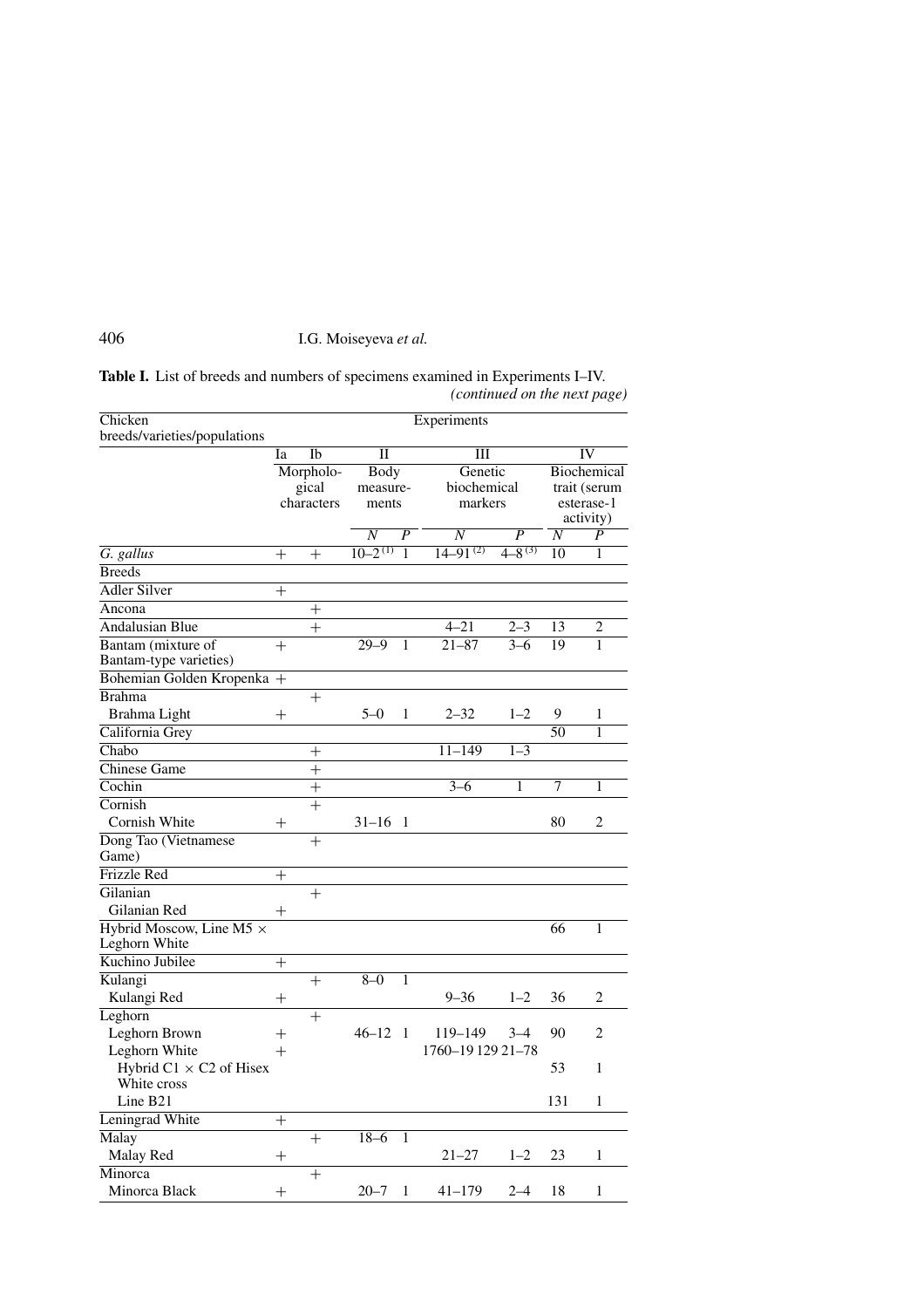| Chicken                                       | Experiments         |                |              |                |                   |                  |                         |                         |  |
|-----------------------------------------------|---------------------|----------------|--------------|----------------|-------------------|------------------|-------------------------|-------------------------|--|
| breeds/varieties/populations                  |                     |                |              |                |                   |                  |                         |                         |  |
|                                               | Ib<br>Ia            |                | $_{\rm II}$  |                | Ш                 |                  | IV                      |                         |  |
|                                               |                     | Morpholo-      | <b>Body</b>  |                |                   | Genetic          |                         | Biochemical             |  |
|                                               | gical<br>characters |                | measure-     |                | biochemical       |                  | trait (serum            |                         |  |
|                                               |                     |                | ments        |                | markers           |                  | esterase-1<br>activity) |                         |  |
|                                               |                     |                | N            | P              | N                 | $\boldsymbol{P}$ | N                       | P                       |  |
| G. gallus                                     | $+$                 | $\ddag$        | $10-2^{(1)}$ | 1              | $14 - 91^{(2)}$   | $4 - 8^{(3)}$    | 10                      | 1                       |  |
| <b>Breeds</b>                                 |                     |                |              |                |                   |                  |                         |                         |  |
| <b>Adler Silver</b>                           | $\overline{+}$      |                |              |                |                   |                  |                         |                         |  |
| Ancona                                        |                     | $^{+}$         |              |                |                   |                  |                         |                         |  |
| Andalusian Blue                               |                     | $\overline{+}$ |              |                | $4 - 21$          | $2 - 3$          | 13                      | $\overline{\mathbf{c}}$ |  |
| Bantam (mixture of                            | $+$                 |                | $29 - 9$     | 1              | $21 - 87$         | $3 - 6$          | 19                      | 1                       |  |
| Bantam-type varieties)                        |                     |                |              |                |                   |                  |                         |                         |  |
| Bohemian Golden Kropenka +                    |                     |                |              |                |                   |                  |                         |                         |  |
| <b>Brahma</b>                                 |                     | $\overline{+}$ |              |                |                   |                  |                         |                         |  |
| Brahma Light                                  | $\hspace{0.1mm} +$  |                | $5 - 0$      | 1              | 2–32              | $1 - 2$          | 9                       | 1                       |  |
| California Grey                               |                     |                |              |                |                   |                  | 50                      | 1                       |  |
| Chabo                                         |                     | $^{+}$         |              |                | $11 - 149$        | $1 - 3$          |                         |                         |  |
| <b>Chinese Game</b>                           |                     | $\overline{+}$ |              |                |                   |                  |                         |                         |  |
| Cochin                                        |                     | $\overline{+}$ |              |                | $3 - 6$           | 1                | 7                       | 1                       |  |
| Cornish                                       |                     | $\overline{+}$ |              |                |                   |                  |                         |                         |  |
| Cornish White                                 | $\hspace{0.1mm} +$  |                | $31 - 16$    | 1              |                   |                  | 80                      | $\overline{2}$          |  |
| Dong Tao (Vietnamese                          |                     | $+$            |              |                |                   |                  |                         |                         |  |
| Game)                                         |                     |                |              |                |                   |                  |                         |                         |  |
| Frizzle Red                                   | $+$                 |                |              |                |                   |                  |                         |                         |  |
| Gilanian                                      |                     | $+$            |              |                |                   |                  |                         |                         |  |
| Gilanian Red                                  | $^+$                |                |              |                |                   |                  |                         |                         |  |
| Hybrid Moscow, Line M5 x                      |                     |                |              |                |                   |                  | 66                      | 1                       |  |
| Leghorn White                                 |                     |                |              |                |                   |                  |                         |                         |  |
| Kuchino Jubilee                               | $+$                 |                |              |                |                   |                  |                         |                         |  |
| Kulangi                                       |                     | $\overline{+}$ | $8 - 0$      | 1              |                   |                  |                         |                         |  |
| Kulangi Red                                   | $^{+}$              |                |              |                | $9 - 36$          | $1 - 2$          | 36                      | 2                       |  |
| Leghorn                                       |                     | $\overline{+}$ |              |                |                   |                  |                         |                         |  |
| Leghorn Brown                                 | $\hspace{0.1mm} +$  |                | $46 - 12$    | $\overline{1}$ | 119-149           | $3 - 4$          | 90                      | $\overline{2}$          |  |
| Leghorn White                                 | $+$                 |                |              |                | 1760-19 129 21-78 |                  |                         |                         |  |
| Hybrid $C1 \times C2$ of Hisex<br>White cross |                     |                |              |                |                   |                  | 53                      | 1                       |  |
| Line B <sub>21</sub>                          |                     |                |              |                |                   |                  | 131                     | 1                       |  |
| Leningrad White                               | $+$                 |                |              |                |                   |                  |                         |                         |  |
| Malay                                         |                     | $+$            | $18 - 6$     | 1              |                   |                  |                         |                         |  |
| Malay Red                                     | $^{+}$              |                |              |                | 21–27             | $1 - 2$          | 23                      | 1                       |  |
| Minorca                                       |                     | $\overline{+}$ |              |                |                   |                  |                         |                         |  |
| Minorca Black                                 | $^{+}$              |                | $20 - 7$     | 1              | 41–179            | $2 - 4$          | 18                      | 1                       |  |

**Table I.** List of breeds and numbers of specimens examined in Experiments I–IV. *(continued on the next page)*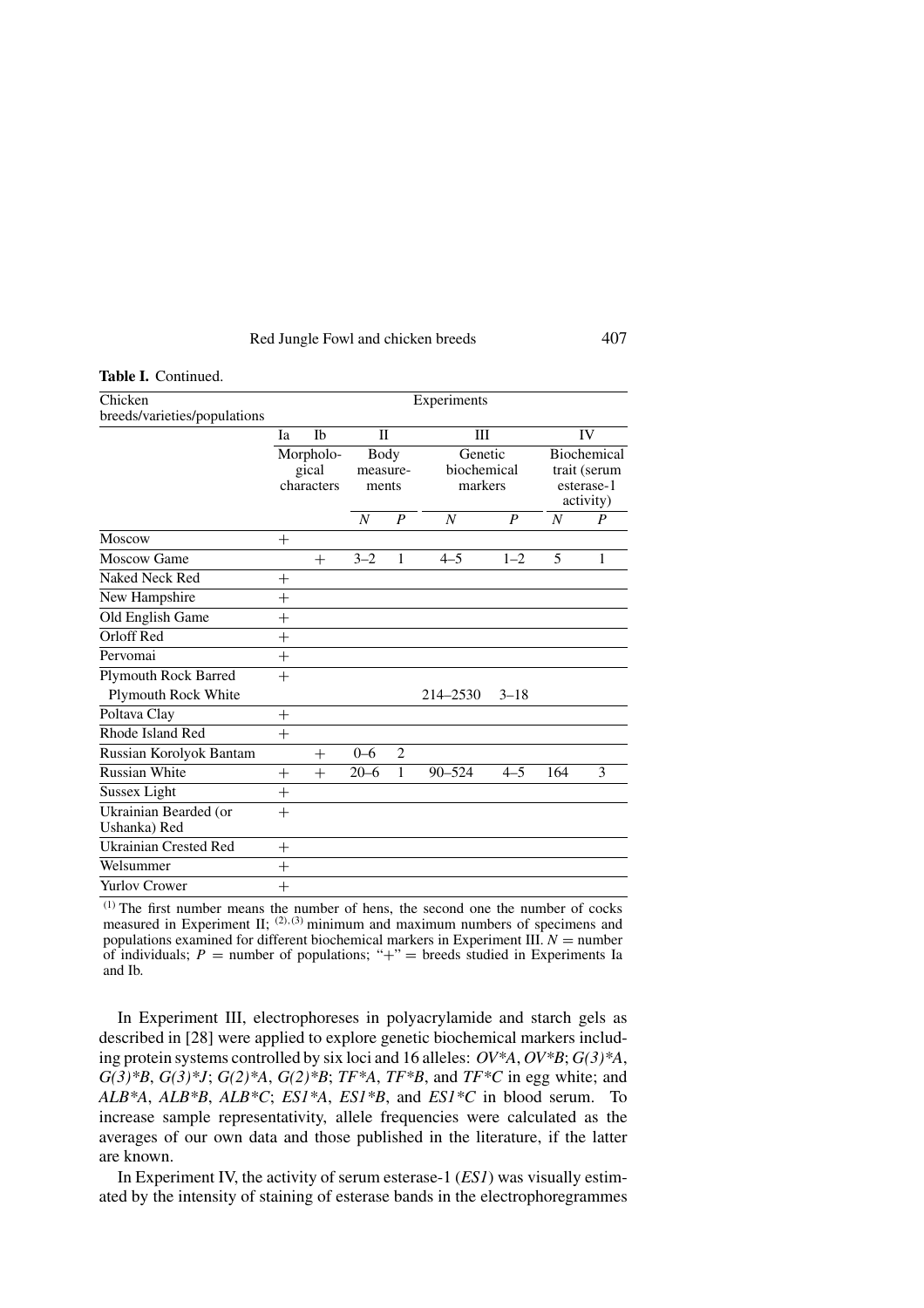#### Red Jungle Fowl and chicken breeds 407

| Chicken                                      | Experiments                      |                           |                           |                |                                   |                                                        |                  |                  |  |  |
|----------------------------------------------|----------------------------------|---------------------------|---------------------------|----------------|-----------------------------------|--------------------------------------------------------|------------------|------------------|--|--|
| breeds/varieties/populations                 |                                  |                           |                           |                |                                   |                                                        |                  |                  |  |  |
|                                              | Ia                               | <b>Ib</b><br>$\mathbf{I}$ |                           |                | III                               |                                                        | IV               |                  |  |  |
|                                              | Morpholo-<br>gical<br>characters |                           | Body<br>measure-<br>ments |                | Genetic<br>biochemical<br>markers | Biochemical<br>trait (serum<br>esterase-1<br>activity) |                  |                  |  |  |
|                                              |                                  |                           | $\boldsymbol{N}$          | $\overline{P}$ | N                                 | $\boldsymbol{P}$                                       | $\boldsymbol{N}$ | $\boldsymbol{P}$ |  |  |
| Moscow                                       | $^{+}$                           |                           |                           |                |                                   |                                                        |                  |                  |  |  |
| <b>Moscow Game</b>                           |                                  | $+$                       | $3 - 2$                   | 1              | $4 - 5$                           | $1 - 2$                                                | 5                | 1                |  |  |
| Naked Neck Red                               | $^{+}$                           |                           |                           |                |                                   |                                                        |                  |                  |  |  |
| New Hampshire                                | $^{+}$                           |                           |                           |                |                                   |                                                        |                  |                  |  |  |
| Old English Game                             | $^{+}$                           |                           |                           |                |                                   |                                                        |                  |                  |  |  |
| Orloff Red                                   | $^{+}$                           |                           |                           |                |                                   |                                                        |                  |                  |  |  |
| Pervomai                                     | $^{+}$                           |                           |                           |                |                                   |                                                        |                  |                  |  |  |
| <b>Plymouth Rock Barred</b>                  | $+$                              |                           |                           |                |                                   |                                                        |                  |                  |  |  |
| Plymouth Rock White                          |                                  |                           |                           |                | 214-2530                          | $3 - 18$                                               |                  |                  |  |  |
| Poltava Clay                                 | $^{+}$                           |                           |                           |                |                                   |                                                        |                  |                  |  |  |
| Rhode Island Red                             | $+$                              |                           |                           |                |                                   |                                                        |                  |                  |  |  |
| Russian Korolyok Bantam                      |                                  | $+$                       | $0 - 6$                   | $\overline{2}$ |                                   |                                                        |                  |                  |  |  |
| <b>Russian White</b>                         | $^{+}$                           | $+$                       | $20 - 6$                  | 1              | $90 - 524$                        | $4 - 5$                                                | 164              | 3                |  |  |
| <b>Sussex Light</b>                          | $^{+}$                           |                           |                           |                |                                   |                                                        |                  |                  |  |  |
| <b>Ukrainian Bearded</b> (or<br>Ushanka) Red | $^{+}$                           |                           |                           |                |                                   |                                                        |                  |                  |  |  |
| <b>Ukrainian Crested Red</b>                 | $^{+}$                           |                           |                           |                |                                   |                                                        |                  |                  |  |  |
| Welsummer                                    | $^{+}$                           |                           |                           |                |                                   |                                                        |                  |                  |  |  |
| <b>Yurlov Crower</b>                         | $^{+}$                           |                           |                           |                |                                   |                                                        |                  |                  |  |  |

#### **Table I.** Continued.

(1) The first number means the number of hens, the second one the number of cocks measured in Experiment II;  $(2),(3)$  minimum and maximum numbers of specimens and populations examined for different biochemical markers in Experiment III.  $N =$  number of individuals;  $P =$  number of populations; "+" = breeds studied in Experiments Ia and Ib.

In Experiment III, electrophoreses in polyacrylamide and starch gels as described in [28] were applied to explore genetic biochemical markers including protein systems controlled by six loci and 16 alleles: *OV\*A*, *OV\*B*; *G(3)\*A*, *G(3)\*B*, *G(3)\*J*; *G(2)\*A*, *G(2)\*B*; *TF\*A*, *TF\*B*, and *TF\*C* in egg white; and *ALB\*A*, *ALB\*B*, *ALB\*C*; *ES1\*A*, *ES1\*B*, and *ES1\*C* in blood serum. To increase sample representativity, allele frequencies were calculated as the averages of our own data and those published in the literature, if the latter are known.

In Experiment IV, the activity of serum esterase-1 (*ES1*) was visually estimated by the intensity of staining of esterase bands in the electrophoregrammes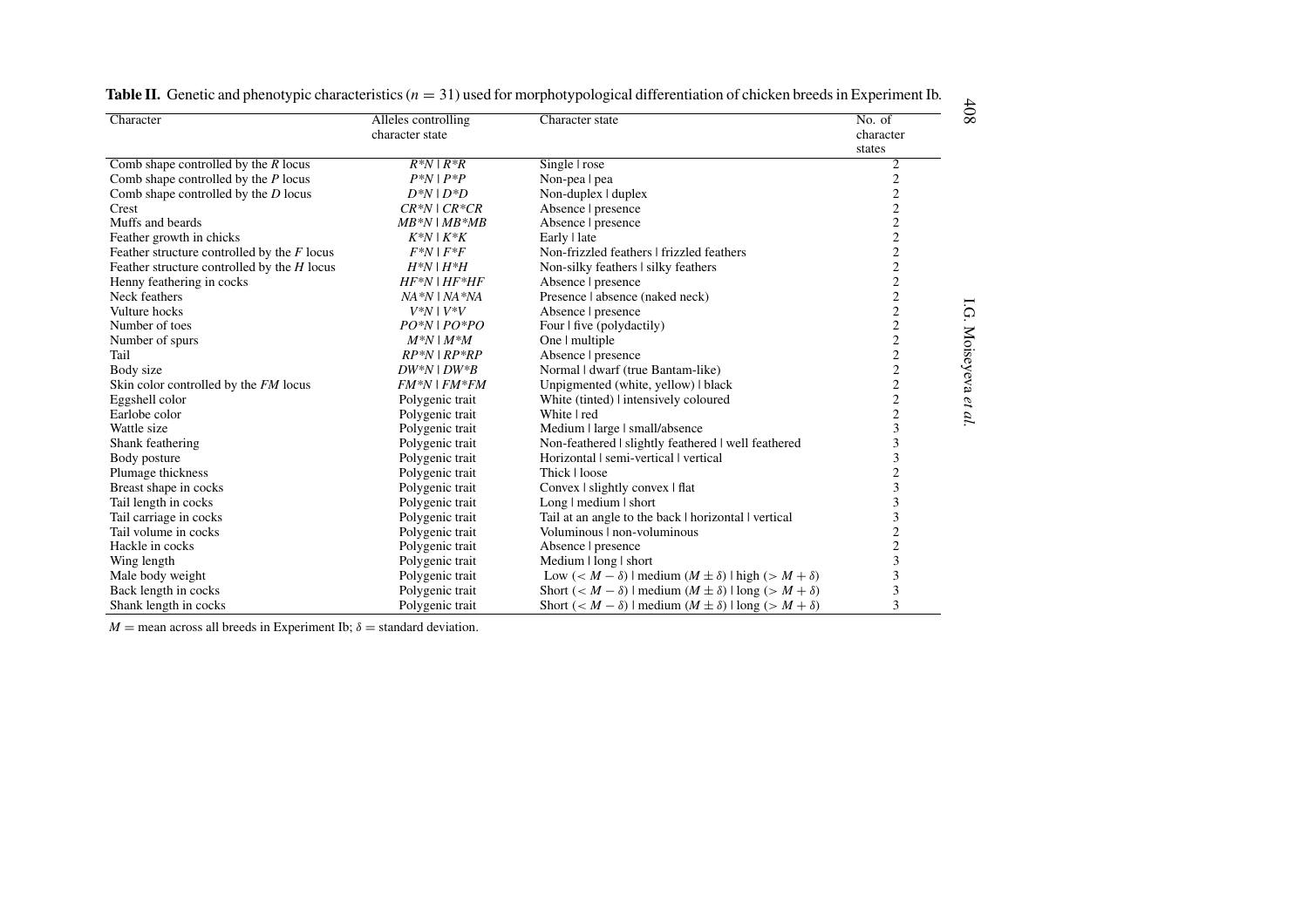| Character                                     | Alleles controlling<br>character state | Character state                                                        | No. of<br>character                        |
|-----------------------------------------------|----------------------------------------|------------------------------------------------------------------------|--------------------------------------------|
|                                               |                                        |                                                                        | states                                     |
| Comb shape controlled by the $R$ locus        | $R^*N$   $R^*R$                        | Single   rose                                                          | 2                                          |
| Comb shape controlled by the $P$ locus        | $P*N$   $P*P$                          | Non-pea   pea                                                          | $\overline{c}$                             |
| Comb shape controlled by the $D$ locus        | $D^*N$   $D^*D$                        | Non-duplex   duplex                                                    |                                            |
| Crest                                         | $CR*N$   $CR*CR$                       | Absence   presence                                                     | $\frac{2}{2}$                              |
| Muffs and beards                              | $MB*N$   $MB*MB$                       | Absence   presence                                                     | $\frac{2}{2}$                              |
| Feather growth in chicks                      | $K^*N$   $K^*K$                        | Early   late                                                           |                                            |
| Feather structure controlled by the $F$ locus | $F^*N \perp F^*F$                      | Non-frizzled feathers   frizzled feathers                              |                                            |
| Feather structure controlled by the $H$ locus | $H^*N \mid H^*H$                       | Non-silky feathers I silky feathers                                    | $\frac{2}{2}$                              |
| Henny feathering in cocks                     | $HF^*N$   $HF^*HF$                     | Absence   presence                                                     | $\frac{2}{2}$                              |
| Neck feathers                                 | $NA*N$   $NA*N$                        | Presence   absence (naked neck)                                        |                                            |
| Vulture hocks                                 | $V^*N$   $V^*V$                        | Absence   presence                                                     | $\frac{2}{2}$                              |
| Number of toes                                | $PO*N$   $PO*PO$                       | Four   five (polydactily)                                              |                                            |
| Number of spurs                               | $M^*N \mid M^*M$                       | One   multiple                                                         |                                            |
| Tail                                          | $RP*N$   $RP*RP$                       | Absence   presence                                                     | $\begin{array}{c} 2 \\ 2 \\ 2 \end{array}$ |
| Body size                                     | $DW^*N$   $DW^*B$                      | Normal   dwarf (true Bantam-like)                                      |                                            |
| Skin color controlled by the FM locus         | $FM*N$   $FM*FM$                       | Unpigmented (white, yellow)   black                                    |                                            |
| Eggshell color                                | Polygenic trait                        | White (tinted)   intensively coloured                                  | $\frac{2}{2}$                              |
| Earlobe color                                 | Polygenic trait                        | White I red                                                            |                                            |
| Wattle size                                   | Polygenic trait                        | Medium   large   small/absence                                         | $\overline{\mathbf{3}}$                    |
| Shank feathering                              | Polygenic trait                        | Non-feathered   slightly feathered   well feathered                    | 3                                          |
| Body posture                                  | Polygenic trait                        | Horizontal   semi-vertical   vertical                                  | $\overline{\mathbf{3}}$                    |
| Plumage thickness                             | Polygenic trait                        | Thick   loose                                                          | $\overline{c}$                             |
| Breast shape in cocks                         | Polygenic trait                        | Convex   slightly convex   flat                                        | $\overline{\mathbf{3}}$                    |
| Tail length in cocks                          | Polygenic trait                        | Long $\vert$ medium $\vert$ short                                      | $\overline{\mathbf{3}}$                    |
| Tail carriage in cocks                        | Polygenic trait                        | Tail at an angle to the back   horizontal   vertical                   |                                            |
| Tail volume in cocks                          | Polygenic trait                        | Voluminous   non-voluminous                                            | $\frac{3}{2}$                              |
| Hackle in cocks                               | Polygenic trait                        | Absence   presence                                                     | $\overline{c}$                             |
| Wing length                                   | Polygenic trait                        | Medium   long   short                                                  | 3                                          |
| Male body weight                              | Polygenic trait                        | Low $(M - \delta)$   medium $(M \pm \delta)$   high $(> M + \delta)$   | 3                                          |
| Back length in cocks                          | Polygenic trait                        | Short $(M - \delta)$   medium $(M \pm \delta)$   long $(> M + \delta)$ | 3                                          |
| Shank length in cocks                         | Polygenic trait                        | Short $(M - \delta)$   medium $(M \pm \delta)$   long $(> M + \delta)$ | 3                                          |

**Table II.** Genetic and phenotypic characteristics (*n* = 31) used for morphotypological differentiation of chicken breeds in Experiment Ib.

 $M$  = mean across all breeds in Experiment Ib;  $\delta$  = standard deviation.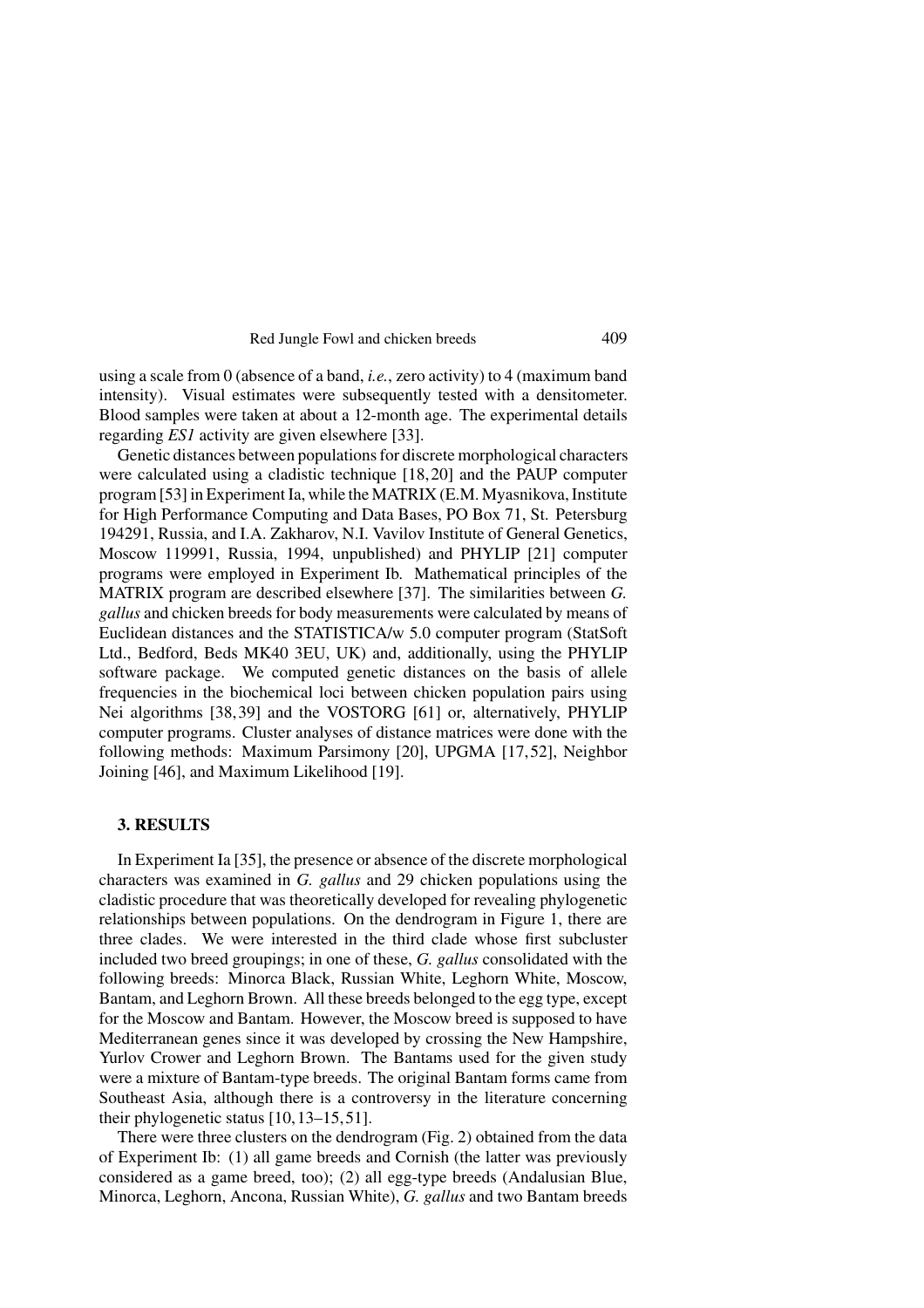using a scale from 0 (absence of a band, *i.e.*, zero activity) to 4 (maximum band intensity). Visual estimates were subsequently tested with a densitometer. Blood samples were taken at about a 12-month age. The experimental details regarding *ES1* activity are given elsewhere [33].

Genetic distances between populations for discrete morphological characters were calculated using a cladistic technique [18,20] and the PAUP computer program [53] in Experiment Ia, while the MATRIX (E.M. Myasnikova, Institute for High Performance Computing and Data Bases, PO Box 71, St. Petersburg 194291, Russia, and I.A. Zakharov, N.I. Vavilov Institute of General Genetics, Moscow 119991, Russia, 1994, unpublished) and PHYLIP [21] computer programs were employed in Experiment Ib. Mathematical principles of the MATRIX program are described elsewhere [37]. The similarities between *G. gallus* and chicken breeds for body measurements were calculated by means of Euclidean distances and the STATISTICA/w 5.0 computer program (StatSoft Ltd., Bedford, Beds MK40 3EU, UK) and, additionally, using the PHYLIP software package. We computed genetic distances on the basis of allele frequencies in the biochemical loci between chicken population pairs using Nei algorithms [38,39] and the VOSTORG [61] or, alternatively, PHYLIP computer programs. Cluster analyses of distance matrices were done with the following methods: Maximum Parsimony [20], UPGMA [17,52], Neighbor Joining [46], and Maximum Likelihood [19].

#### **3. RESULTS**

In Experiment Ia [35], the presence or absence of the discrete morphological characters was examined in *G. gallus* and 29 chicken populations using the cladistic procedure that was theoretically developed for revealing phylogenetic relationships between populations. On the dendrogram in Figure 1, there are three clades. We were interested in the third clade whose first subcluster included two breed groupings; in one of these, *G. gallus* consolidated with the following breeds: Minorca Black, Russian White, Leghorn White, Moscow, Bantam, and Leghorn Brown. All these breeds belonged to the egg type, except for the Moscow and Bantam. However, the Moscow breed is supposed to have Mediterranean genes since it was developed by crossing the New Hampshire, Yurlov Crower and Leghorn Brown. The Bantams used for the given study were a mixture of Bantam-type breeds. The original Bantam forms came from Southeast Asia, although there is a controversy in the literature concerning their phylogenetic status [10,13–15,51].

There were three clusters on the dendrogram (Fig. 2) obtained from the data of Experiment Ib: (1) all game breeds and Cornish (the latter was previously considered as a game breed, too); (2) all egg-type breeds (Andalusian Blue, Minorca, Leghorn, Ancona, Russian White), *G. gallus* and two Bantam breeds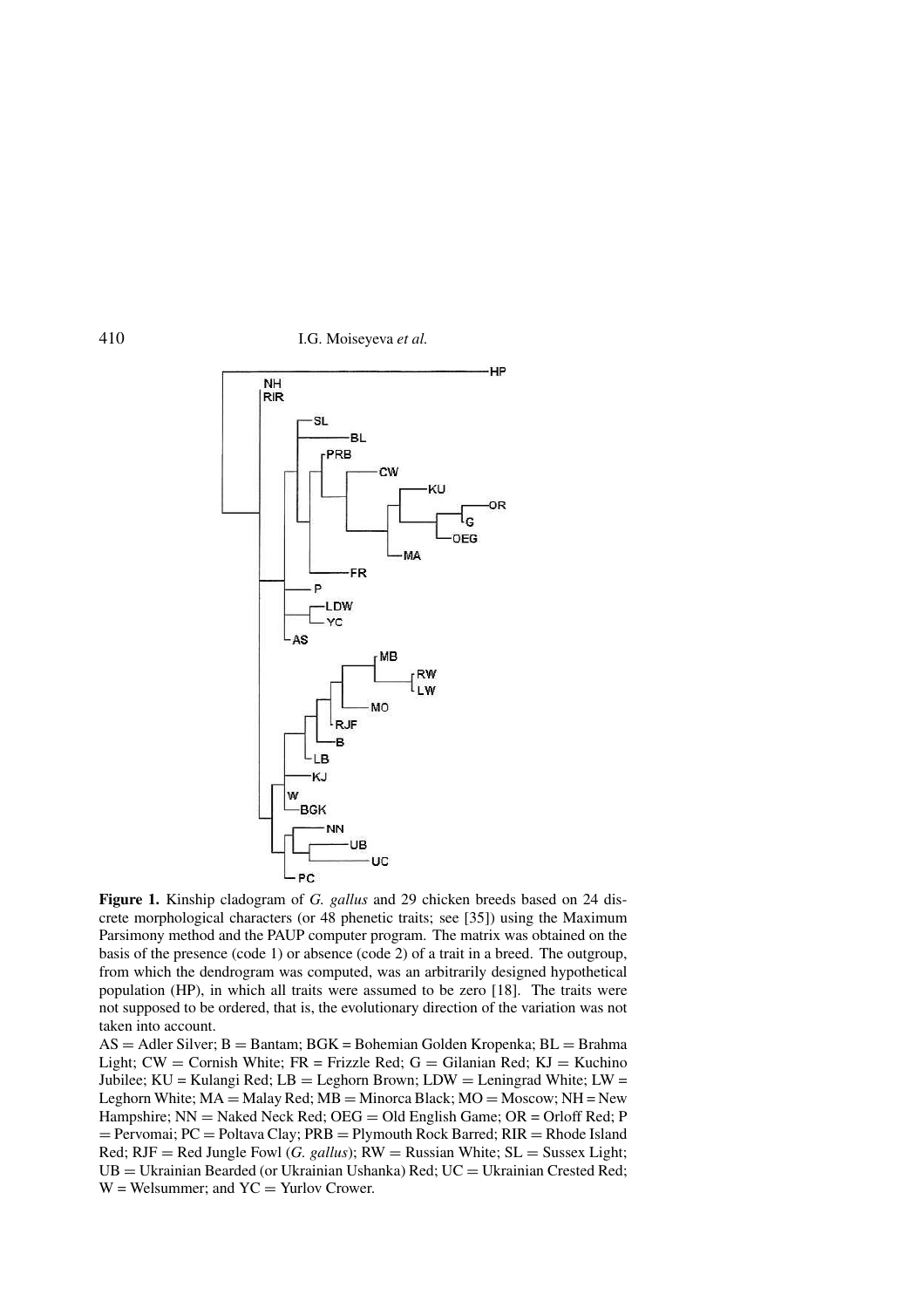

**Figure 1.** Kinship cladogram of *G. gallus* and 29 chicken breeds based on 24 discrete morphological characters (or 48 phenetic traits; see [35]) using the Maximum Parsimony method and the PAUP computer program. The matrix was obtained on the basis of the presence (code 1) or absence (code 2) of a trait in a breed. The outgroup, from which the dendrogram was computed, was an arbitrarily designed hypothetical population (HP), in which all traits were assumed to be zero [18]. The traits were not supposed to be ordered, that is, the evolutionary direction of the variation was not taken into account.

 $AS =$  Adler Silver;  $B =$  Bantam;  $BGK =$  Bohemian Golden Kropenka;  $BL =$  Brahma Light;  $CW =$  Cornish White;  $FR =$  Frizzle Red;  $G =$  Gilanian Red;  $KJ =$  Kuchino Jubilee;  $KU =$  Kulangi Red;  $LB =$  Leghorn Brown; LDW = Leningrad White; LW = Leghorn White;  $MA =$  Malay Red;  $MB =$  Minorca Black;  $MO =$  Moscow;  $NH =$  New Hampshire;  $NN = N$ aked Neck Red;  $OEG = Old$  English Game;  $OR =$  Orloff Red; P  $=$  Pervomai; PC  $=$  Poltava Clay; PRB  $=$  Plymouth Rock Barred; RIR  $=$  Rhode Island Red;  $RJF = Red$  Jungle Fowl (*G. gallus*);  $RW = Russian White$ ;  $SL = S$ ussex Light;  $UB = U$ krainian Bearded (or Ukrainian Ushanka) Red;  $UC = U$ krainian Crested Red;  $W =$  Welsummer; and  $YC =$  Yurlov Crower.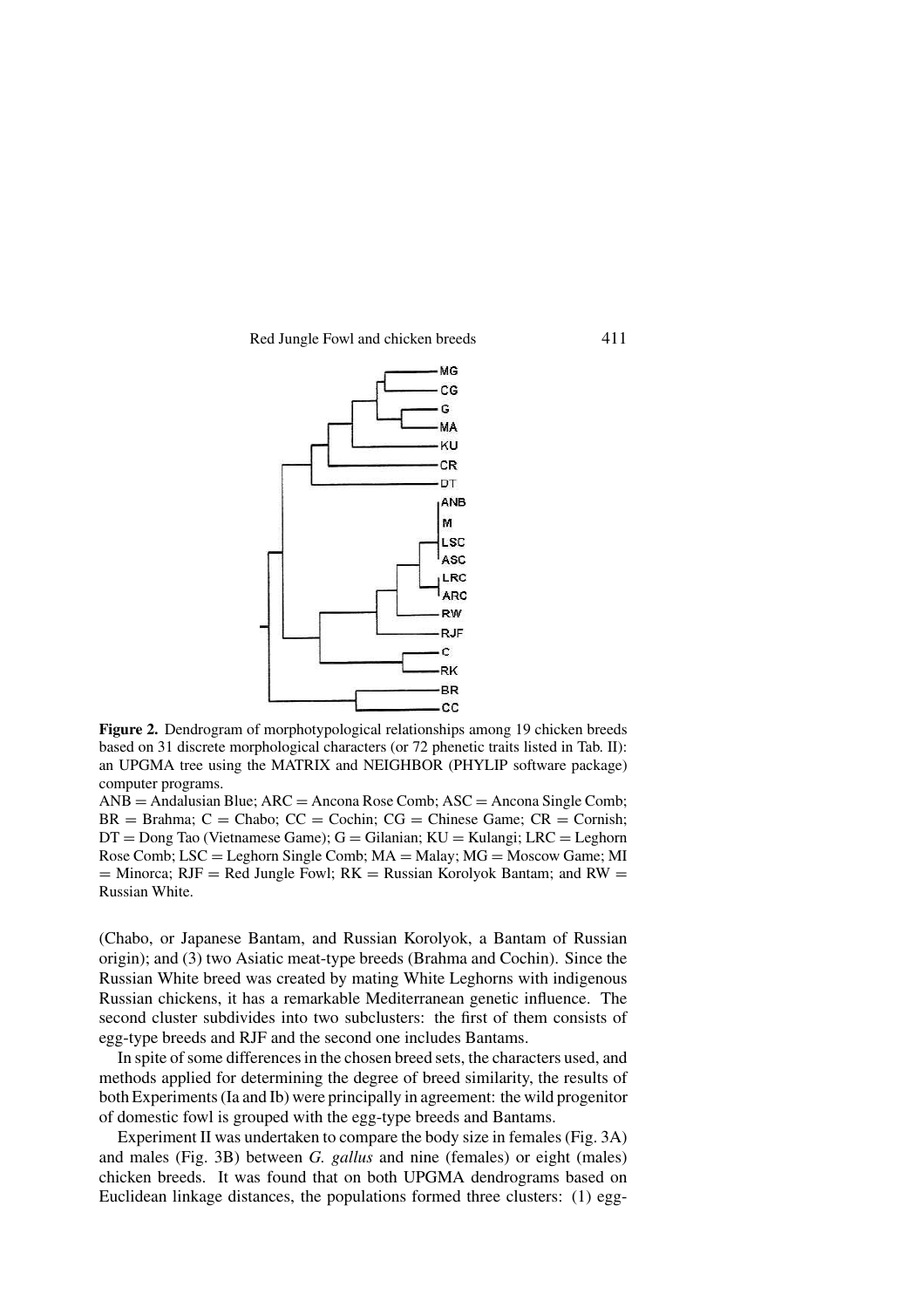

**Figure 2.** Dendrogram of morphotypological relationships among 19 chicken breeds based on 31 discrete morphological characters (or 72 phenetic traits listed in Tab. II): an UPGMA tree using the MATRIX and NEIGHBOR (PHYLIP software package) computer programs.

 $AND =$  Andalusian Blue;  $ARC =$  Ancona Rose Comb;  $ASC =$  Ancona Single Comb;  $BR = Brahma$ ;  $C = Chabo$ ;  $CC = Cochin$ ;  $CG = Chinese Game$ ;  $CR = Cornish$ ;  $DT =$ Dong Tao (Vietnamese Game);  $G =$  Gilanian;  $KU =$ Kulangi; LRC = Leghorn Rose Comb; LSC = Leghorn Single Comb; MA = Malay; MG = Moscow Game; MI  $=$  Minorca; RJF = Red Jungle Fowl; RK = Russian Korolyok Bantam; and RW = Russian White.

(Chabo, or Japanese Bantam, and Russian Korolyok, a Bantam of Russian origin); and (3) two Asiatic meat-type breeds (Brahma and Cochin). Since the Russian White breed was created by mating White Leghorns with indigenous Russian chickens, it has a remarkable Mediterranean genetic influence. The second cluster subdivides into two subclusters: the first of them consists of egg-type breeds and RJF and the second one includes Bantams.

In spite of some differences in the chosen breed sets, the characters used, and methods applied for determining the degree of breed similarity, the results of both Experiments (Ia and Ib) were principally in agreement: the wild progenitor of domestic fowl is grouped with the egg-type breeds and Bantams.

Experiment II was undertaken to compare the body size in females (Fig. 3A) and males (Fig. 3B) between *G. gallus* and nine (females) or eight (males) chicken breeds. It was found that on both UPGMA dendrograms based on Euclidean linkage distances, the populations formed three clusters: (1) egg-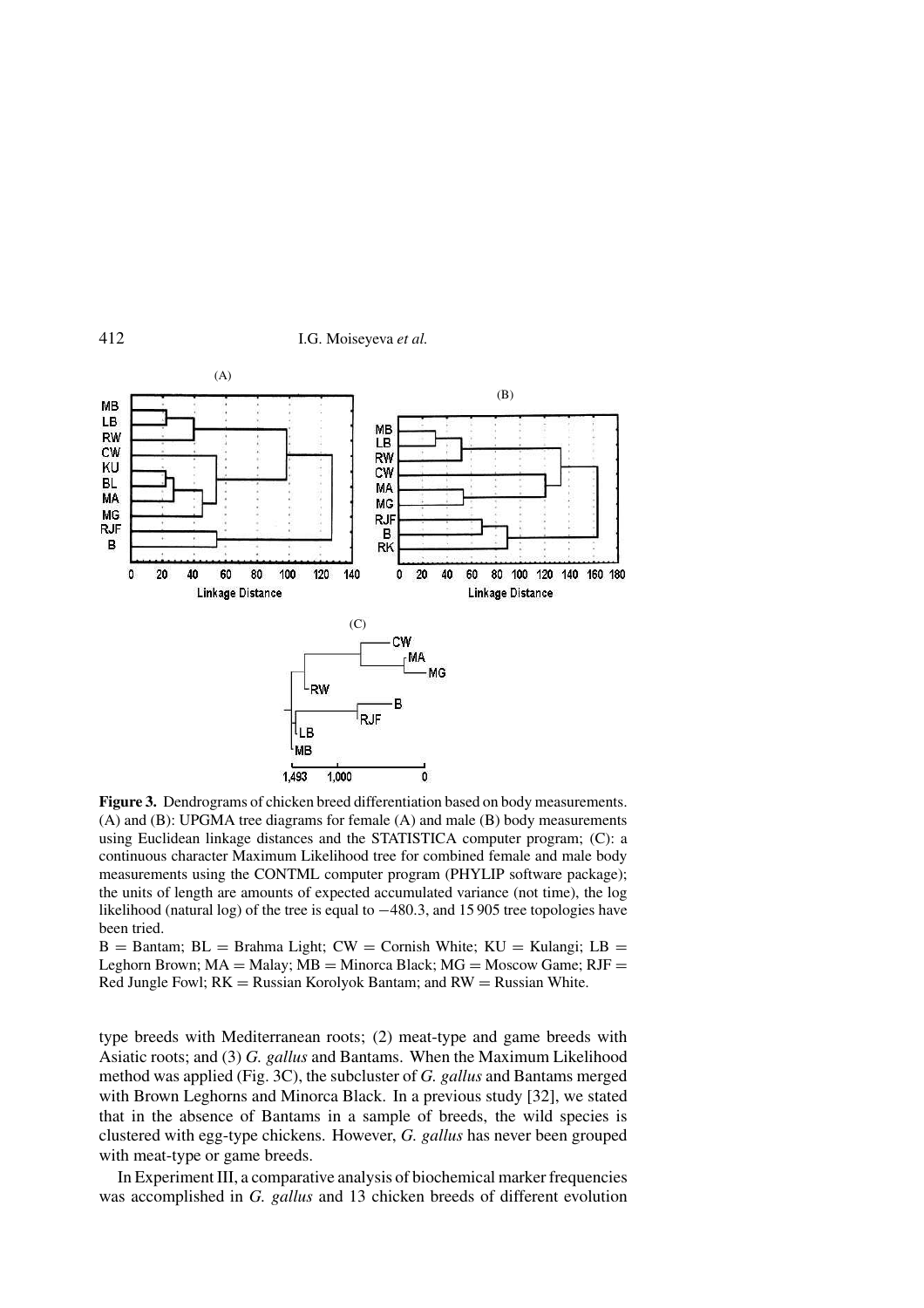

**Figure 3.** Dendrograms of chicken breed differentiation based on body measurements. (A) and (B): UPGMA tree diagrams for female (A) and male (B) body measurements using Euclidean linkage distances and the STATISTICA computer program; (C): a continuous character Maximum Likelihood tree for combined female and male body measurements using the CONTML computer program (PHYLIP software package); the units of length are amounts of expected accumulated variance (not time), the log likelihood (natural log) of the tree is equal to −480.3, and 15 905 tree topologies have been tried.

 $B =$  Bantam;  $BL =$  Brahma Light;  $CW =$  Cornish White;  $KU =$  Kulangi;  $LB =$ Leghorn Brown;  $MA =$  Malay;  $MB =$  Minorca Black;  $MG =$  Moscow Game;  $RJF =$ Red Jungle Fowl;  $RK = Russian Korolyok Bantam$ ; and  $RW = Russian White$ .

type breeds with Mediterranean roots; (2) meat-type and game breeds with Asiatic roots; and (3) *G. gallus* and Bantams. When the Maximum Likelihood method was applied (Fig. 3C), the subcluster of *G. gallus* and Bantams merged with Brown Leghorns and Minorca Black. In a previous study [32], we stated that in the absence of Bantams in a sample of breeds, the wild species is clustered with egg-type chickens. However, *G. gallus* has never been grouped with meat-type or game breeds.

In Experiment III, a comparative analysis of biochemical marker frequencies was accomplished in *G. gallus* and 13 chicken breeds of different evolution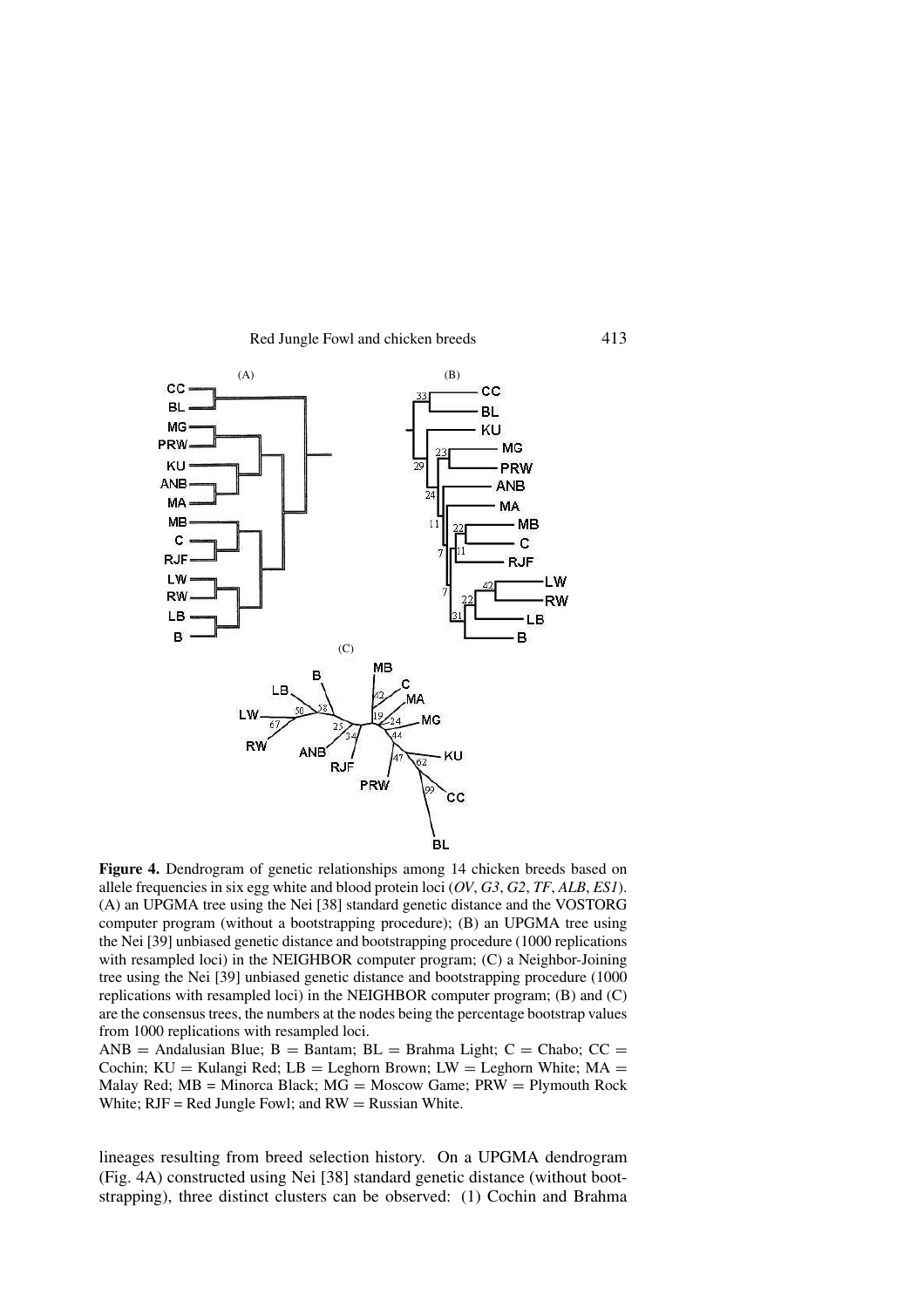

**Figure 4.** Dendrogram of genetic relationships among 14 chicken breeds based on allele frequencies in six egg white and blood protein loci (*OV*, *G3*, *G2*, *TF*, *ALB*, *ES1*). (A) an UPGMA tree using the Nei [38] standard genetic distance and the VOSTORG computer program (without a bootstrapping procedure); (B) an UPGMA tree using the Nei [39] unbiased genetic distance and bootstrapping procedure (1000 replications with resampled loci) in the NEIGHBOR computer program; (C) a Neighbor-Joining tree using the Nei [39] unbiased genetic distance and bootstrapping procedure (1000 replications with resampled loci) in the NEIGHBOR computer program; (B) and (C) are the consensus trees, the numbers at the nodes being the percentage bootstrap values from 1000 replications with resampled loci.

 $AND =$  Andalusian Blue;  $B =$  Bantam;  $BL =$  Brahma Light;  $C =$  Chabo;  $CC =$ Cochin;  $KU =$  Kulangi Red;  $LB =$  Leghorn Brown;  $LW =$  Leghorn White;  $MA =$ Malay Red;  $MB =$  Minorca Black;  $MG =$  Moscow Game;  $PRW =$  Plymouth Rock White;  $RJF = Red$  Jungle Fowl; and  $RW = Russian$  White.

lineages resulting from breed selection history. On a UPGMA dendrogram (Fig. 4A) constructed using Nei [38] standard genetic distance (without bootstrapping), three distinct clusters can be observed: (1) Cochin and Brahma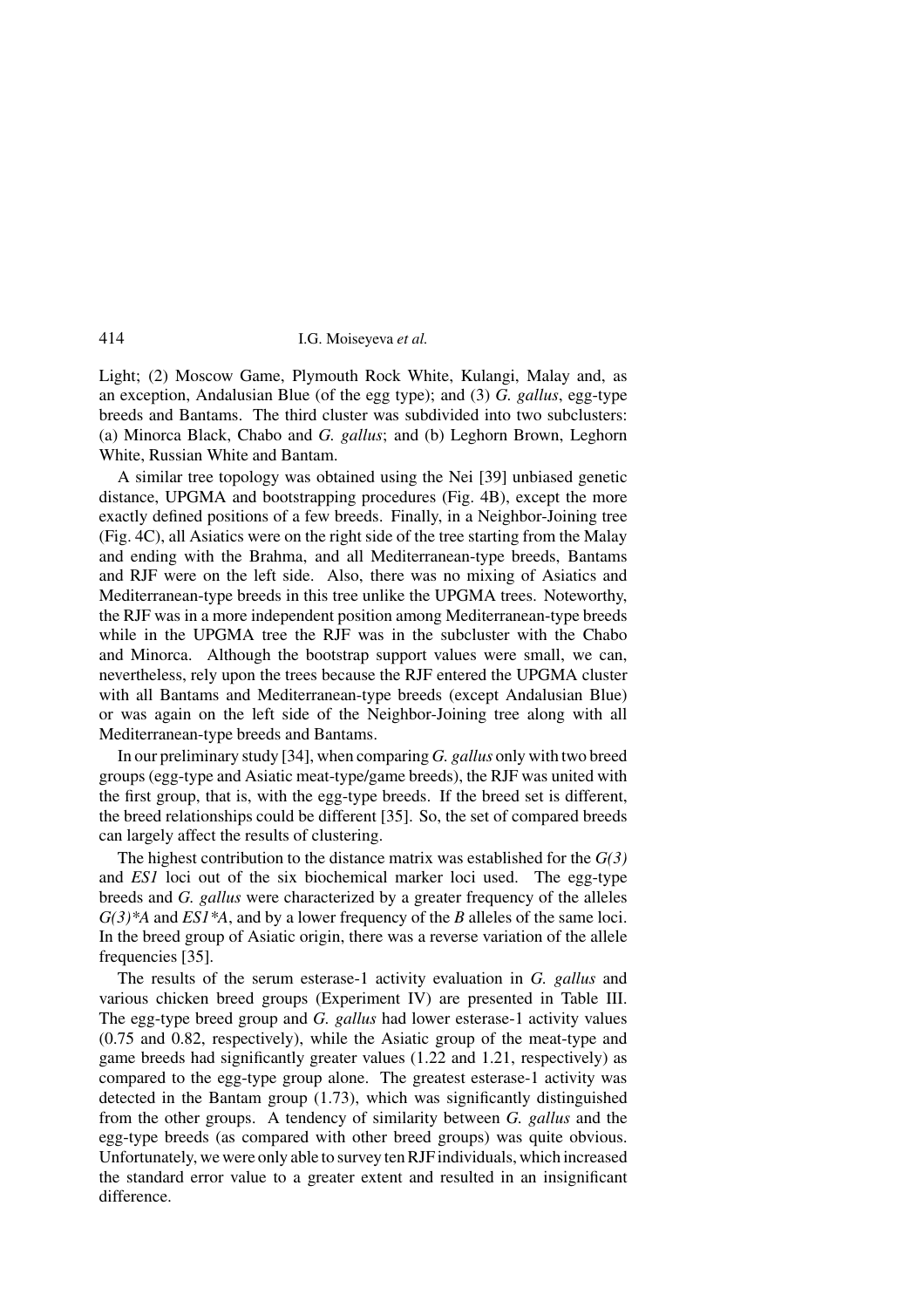Light; (2) Moscow Game, Plymouth Rock White, Kulangi, Malay and, as an exception, Andalusian Blue (of the egg type); and (3) *G. gallus*, egg-type breeds and Bantams. The third cluster was subdivided into two subclusters: (a) Minorca Black, Chabo and *G. gallus*; and (b) Leghorn Brown, Leghorn White, Russian White and Bantam.

A similar tree topology was obtained using the Nei [39] unbiased genetic distance, UPGMA and bootstrapping procedures (Fig. 4B), except the more exactly defined positions of a few breeds. Finally, in a Neighbor-Joining tree (Fig. 4C), all Asiatics were on the right side of the tree starting from the Malay and ending with the Brahma, and all Mediterranean-type breeds, Bantams and RJF were on the left side. Also, there was no mixing of Asiatics and Mediterranean-type breeds in this tree unlike the UPGMA trees. Noteworthy, the RJF was in a more independent position among Mediterranean-type breeds while in the UPGMA tree the RJF was in the subcluster with the Chabo and Minorca. Although the bootstrap support values were small, we can, nevertheless, rely upon the trees because the RJF entered the UPGMA cluster with all Bantams and Mediterranean-type breeds (except Andalusian Blue) or was again on the left side of the Neighbor-Joining tree along with all Mediterranean-type breeds and Bantams.

In our preliminary study [34], when comparing *G. gallus* only with two breed groups (egg-type and Asiatic meat-type/game breeds), the RJF was united with the first group, that is, with the egg-type breeds. If the breed set is different, the breed relationships could be different [35]. So, the set of compared breeds can largely affect the results of clustering.

The highest contribution to the distance matrix was established for the *G(3)* and *ES1* loci out of the six biochemical marker loci used. The egg-type breeds and *G. gallus* were characterized by a greater frequency of the alleles *G(3)\*A* and *ES1\*A*, and by a lower frequency of the *B* alleles of the same loci. In the breed group of Asiatic origin, there was a reverse variation of the allele frequencies [35].

The results of the serum esterase-1 activity evaluation in *G. gallus* and various chicken breed groups (Experiment IV) are presented in Table III. The egg-type breed group and *G. gallus* had lower esterase-1 activity values (0.75 and 0.82, respectively), while the Asiatic group of the meat-type and game breeds had significantly greater values (1.22 and 1.21, respectively) as compared to the egg-type group alone. The greatest esterase-1 activity was detected in the Bantam group  $(1.73)$ , which was significantly distinguished from the other groups. A tendency of similarity between *G. gallus* and the egg-type breeds (as compared with other breed groups) was quite obvious. Unfortunately, we were only able to survey ten RJF individuals, which increased the standard error value to a greater extent and resulted in an insignificant difference.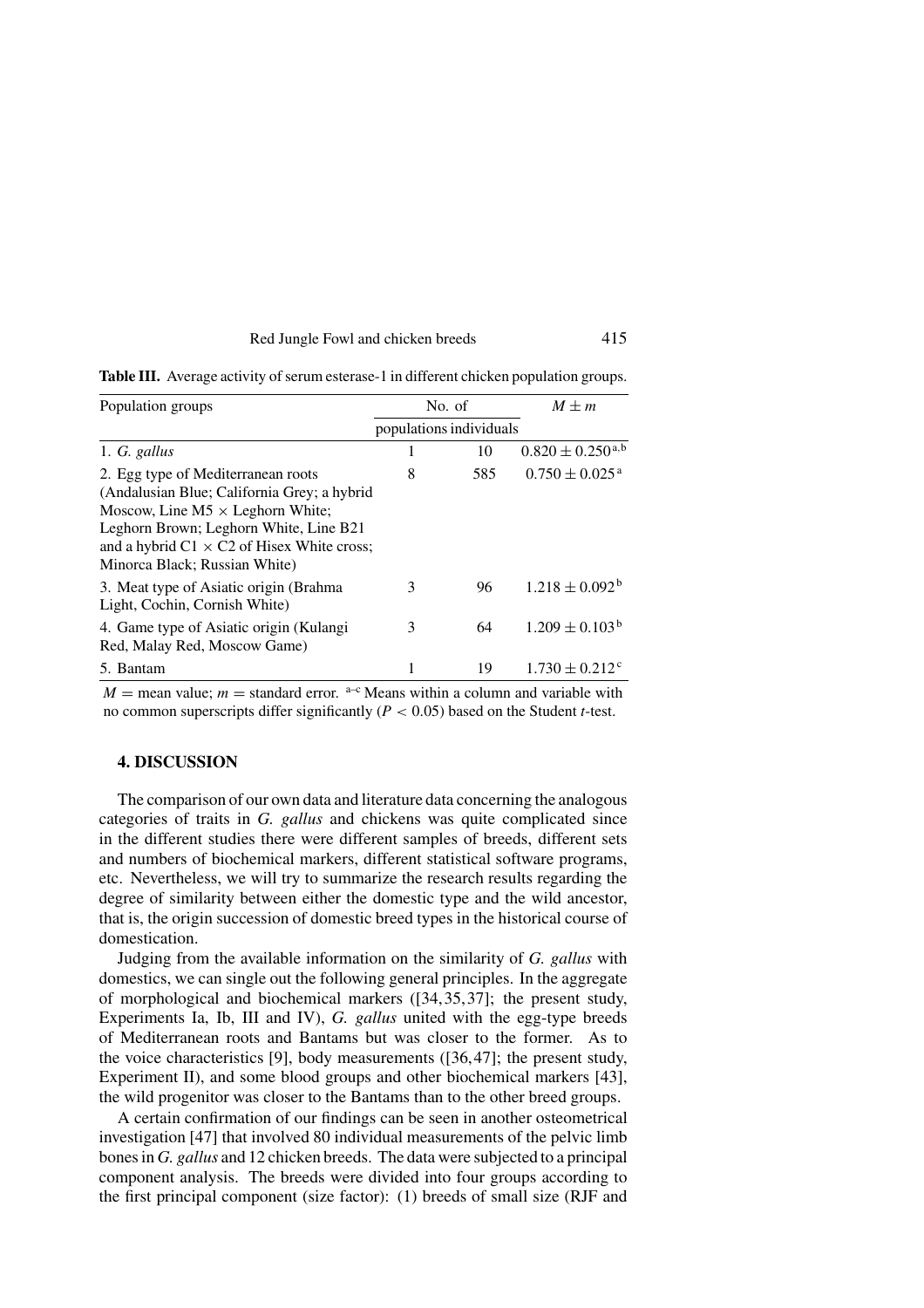| Population groups                                                                                                                                                                                                                                            |                         | No. of | $M \pm m$                      |
|--------------------------------------------------------------------------------------------------------------------------------------------------------------------------------------------------------------------------------------------------------------|-------------------------|--------|--------------------------------|
|                                                                                                                                                                                                                                                              | populations individuals |        |                                |
| 1. G. gallus                                                                                                                                                                                                                                                 |                         | 10     | $0.820 \pm 0.250^{a,b}$        |
| 2. Egg type of Mediterranean roots<br>(Andalusian Blue; California Grey; a hybrid<br>Moscow, Line $M5 \times$ Leghorn White;<br>Leghorn Brown; Leghorn White, Line B21<br>and a hybrid $C1 \times C2$ of Hisex White cross;<br>Minorca Black; Russian White) | 8                       | 585    | $0.750 \pm 0.025^{\text{a}}$   |
| 3. Meat type of Asiatic origin (Brahma)<br>Light, Cochin, Cornish White)                                                                                                                                                                                     | 3                       | 96     | $1.218 \pm 0.092^{\mathrm{b}}$ |
| 4. Game type of Asiatic origin (Kulangi)<br>Red, Malay Red, Moscow Game)                                                                                                                                                                                     | 3                       | 64     | $1.209 \pm 0.103^{\mathrm{b}}$ |
| 5. Bantam                                                                                                                                                                                                                                                    |                         | 19     | $1.730 \pm 0.212$ <sup>c</sup> |

**Table III.** Average activity of serum esterase-1 in different chicken population groups.

 $M =$  mean value;  $m =$  standard error. <sup>a–c</sup> Means within a column and variable with no common superscripts differ significantly (*P* < 0.05) based on the Student *t*-test.

#### **4. DISCUSSION**

The comparison of our own data and literature data concerning the analogous categories of traits in *G. gallus* and chickens was quite complicated since in the different studies there were different samples of breeds, different sets and numbers of biochemical markers, different statistical software programs, etc. Nevertheless, we will try to summarize the research results regarding the degree of similarity between either the domestic type and the wild ancestor, that is, the origin succession of domestic breed types in the historical course of domestication.

Judging from the available information on the similarity of *G. gallus* with domestics, we can single out the following general principles. In the aggregate of morphological and biochemical markers ([34,35,37]; the present study, Experiments Ia, Ib, III and IV), *G. gallus* united with the egg-type breeds of Mediterranean roots and Bantams but was closer to the former. As to the voice characteristics [9], body measurements ([36,47]; the present study, Experiment II), and some blood groups and other biochemical markers [43], the wild progenitor was closer to the Bantams than to the other breed groups.

A certain confirmation of our findings can be seen in another osteometrical investigation [47] that involved 80 individual measurements of the pelvic limb bones in *G. gallus* and 12 chicken breeds. The data were subjected to a principal component analysis. The breeds were divided into four groups according to the first principal component (size factor): (1) breeds of small size (RJF and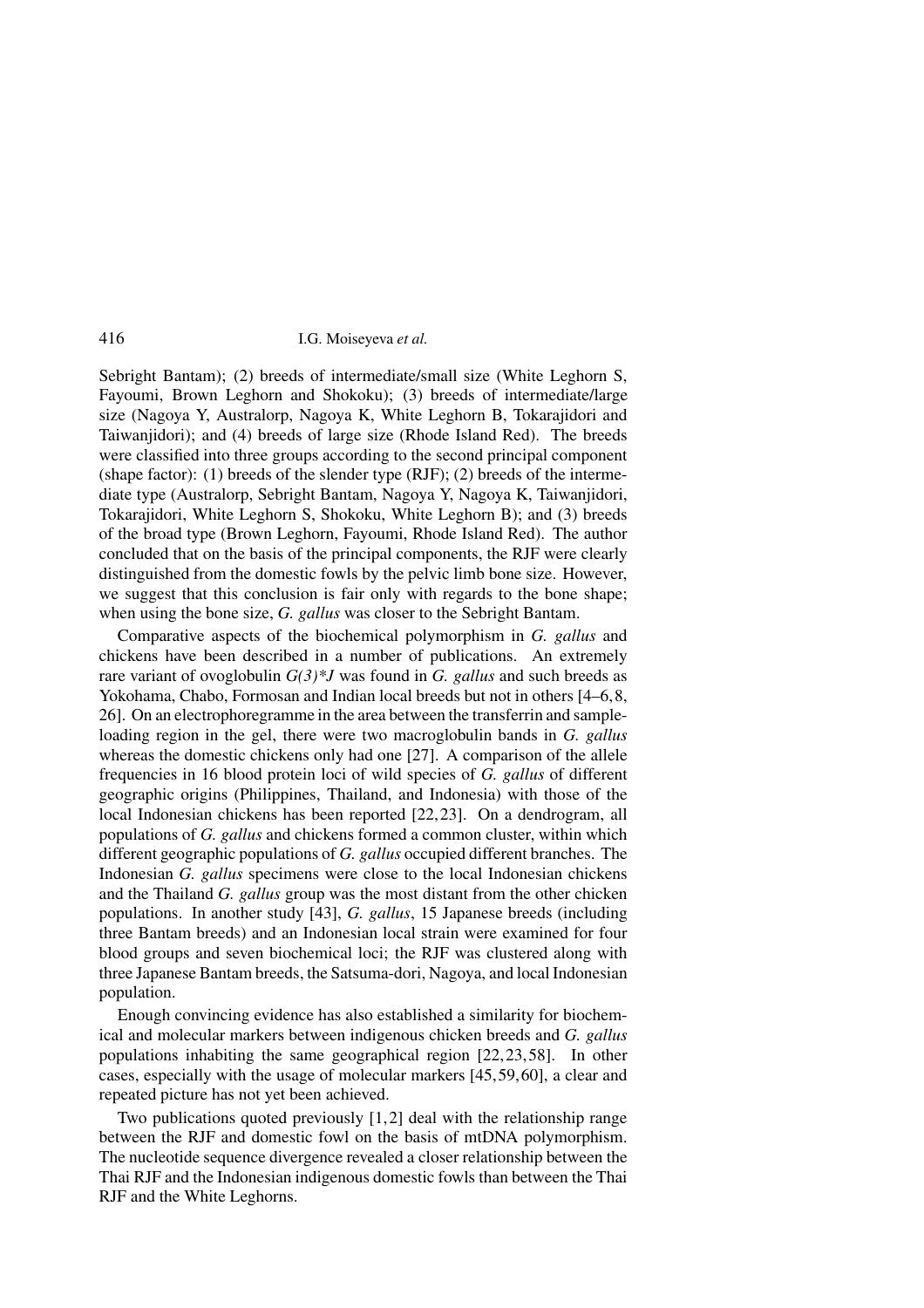Sebright Bantam); (2) breeds of intermediate/small size (White Leghorn S, Fayoumi, Brown Leghorn and Shokoku); (3) breeds of intermediate/large size (Nagoya Y, Australorp, Nagoya K, White Leghorn B, Tokarajidori and Taiwanjidori); and (4) breeds of large size (Rhode Island Red). The breeds were classified into three groups according to the second principal component (shape factor): (1) breeds of the slender type (RJF); (2) breeds of the intermediate type (Australorp, Sebright Bantam, Nagoya Y, Nagoya K, Taiwanjidori, Tokarajidori, White Leghorn S, Shokoku, White Leghorn B); and (3) breeds of the broad type (Brown Leghorn, Fayoumi, Rhode Island Red). The author concluded that on the basis of the principal components, the RJF were clearly distinguished from the domestic fowls by the pelvic limb bone size. However, we suggest that this conclusion is fair only with regards to the bone shape; when using the bone size, *G. gallus* was closer to the Sebright Bantam.

Comparative aspects of the biochemical polymorphism in *G. gallus* and chickens have been described in a number of publications. An extremely rare variant of ovoglobulin  $G(3)^*J$  was found in *G. gallus* and such breeds as Yokohama, Chabo, Formosan and Indian local breeds but not in others [4–6,8, 26]. On an electrophoregramme in the area between the transferrin and sampleloading region in the gel, there were two macroglobulin bands in *G. gallus* whereas the domestic chickens only had one [27]. A comparison of the allele frequencies in 16 blood protein loci of wild species of *G. gallus* of different geographic origins (Philippines, Thailand, and Indonesia) with those of the local Indonesian chickens has been reported [22,23]. On a dendrogram, all populations of *G. gallus* and chickens formed a common cluster, within which different geographic populations of *G. gallus* occupied different branches. The Indonesian *G. gallus* specimens were close to the local Indonesian chickens and the Thailand *G. gallus* group was the most distant from the other chicken populations. In another study [43], *G. gallus*, 15 Japanese breeds (including three Bantam breeds) and an Indonesian local strain were examined for four blood groups and seven biochemical loci; the RJF was clustered along with three Japanese Bantam breeds, the Satsuma-dori, Nagoya, and local Indonesian population.

Enough convincing evidence has also established a similarity for biochemical and molecular markers between indigenous chicken breeds and *G. gallus* populations inhabiting the same geographical region [22,23,58]. In other cases, especially with the usage of molecular markers [45,59,60], a clear and repeated picture has not yet been achieved.

Two publications quoted previously [1,2] deal with the relationship range between the RJF and domestic fowl on the basis of mtDNA polymorphism. The nucleotide sequence divergence revealed a closer relationship between the Thai RJF and the Indonesian indigenous domestic fowls than between the Thai RJF and the White Leghorns.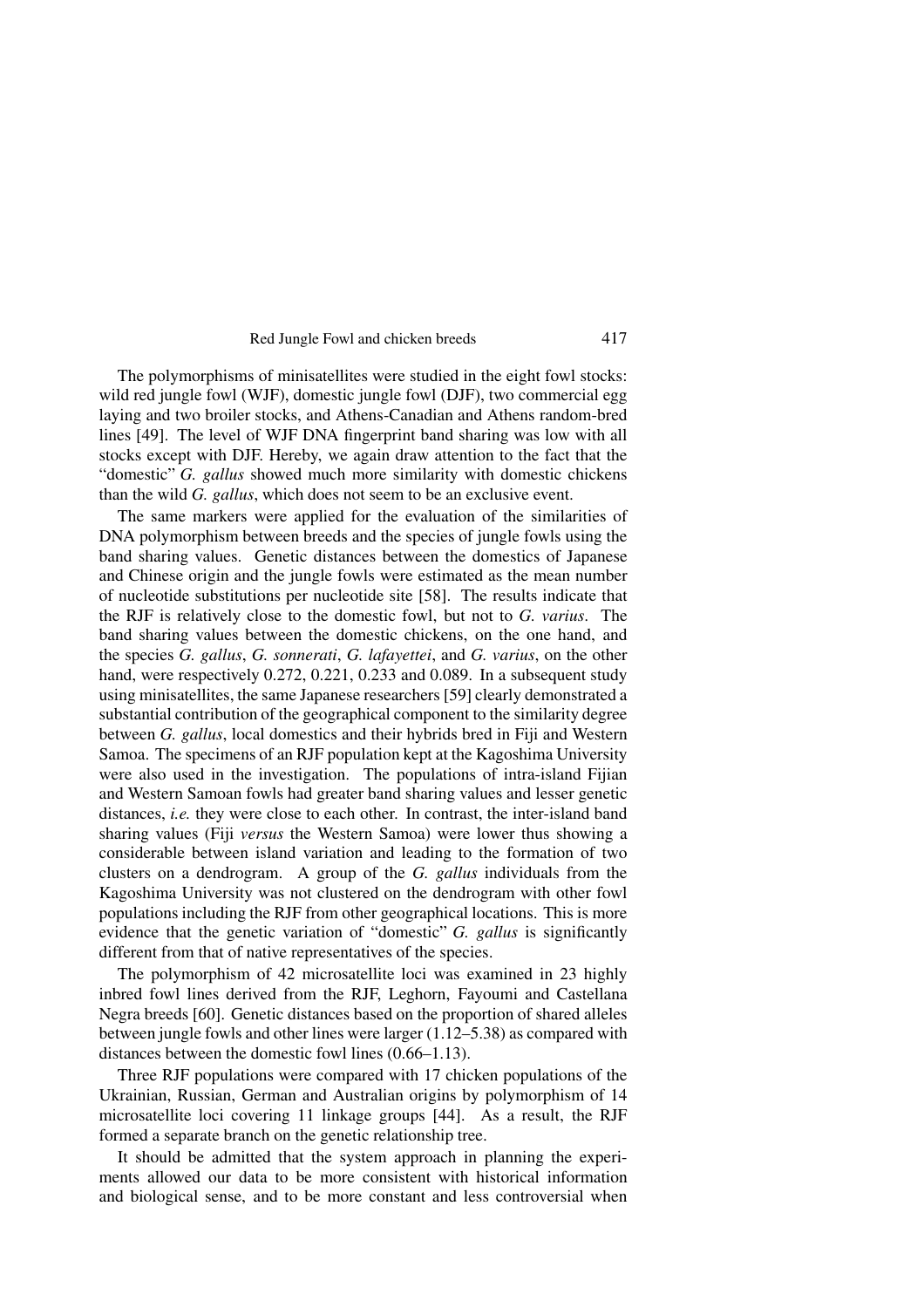The polymorphisms of minisatellites were studied in the eight fowl stocks: wild red jungle fowl (WJF), domestic jungle fowl (DJF), two commercial egg laying and two broiler stocks, and Athens-Canadian and Athens random-bred lines [49]. The level of WJF DNA fingerprint band sharing was low with all stocks except with DJF. Hereby, we again draw attention to the fact that the "domestic" *G. gallus* showed much more similarity with domestic chickens than the wild *G. gallus*, which does not seem to be an exclusive event.

The same markers were applied for the evaluation of the similarities of DNA polymorphism between breeds and the species of jungle fowls using the band sharing values. Genetic distances between the domestics of Japanese and Chinese origin and the jungle fowls were estimated as the mean number of nucleotide substitutions per nucleotide site [58]. The results indicate that the RJF is relatively close to the domestic fowl, but not to *G. varius*. The band sharing values between the domestic chickens, on the one hand, and the species *G. gallus*, *G. sonnerati*, *G. lafayettei*, and *G. varius*, on the other hand, were respectively 0.272, 0.221, 0.233 and 0.089. In a subsequent study using minisatellites, the same Japanese researchers [59] clearly demonstrated a substantial contribution of the geographical component to the similarity degree between *G. gallus*, local domestics and their hybrids bred in Fiji and Western Samoa. The specimens of an RJF population kept at the Kagoshima University were also used in the investigation. The populations of intra-island Fijian and Western Samoan fowls had greater band sharing values and lesser genetic distances, *i.e.* they were close to each other. In contrast, the inter-island band sharing values (Fiji *versus* the Western Samoa) were lower thus showing a considerable between island variation and leading to the formation of two clusters on a dendrogram. A group of the *G. gallus* individuals from the Kagoshima University was not clustered on the dendrogram with other fowl populations including the RJF from other geographical locations. This is more evidence that the genetic variation of "domestic" *G. gallus* is significantly different from that of native representatives of the species.

The polymorphism of 42 microsatellite loci was examined in 23 highly inbred fowl lines derived from the RJF, Leghorn, Fayoumi and Castellana Negra breeds [60]. Genetic distances based on the proportion of shared alleles between jungle fowls and other lines were larger (1.12–5.38) as compared with distances between the domestic fowl lines (0.66–1.13).

Three RJF populations were compared with 17 chicken populations of the Ukrainian, Russian, German and Australian origins by polymorphism of 14 microsatellite loci covering 11 linkage groups [44]. As a result, the RJF formed a separate branch on the genetic relationship tree.

It should be admitted that the system approach in planning the experiments allowed our data to be more consistent with historical information and biological sense, and to be more constant and less controversial when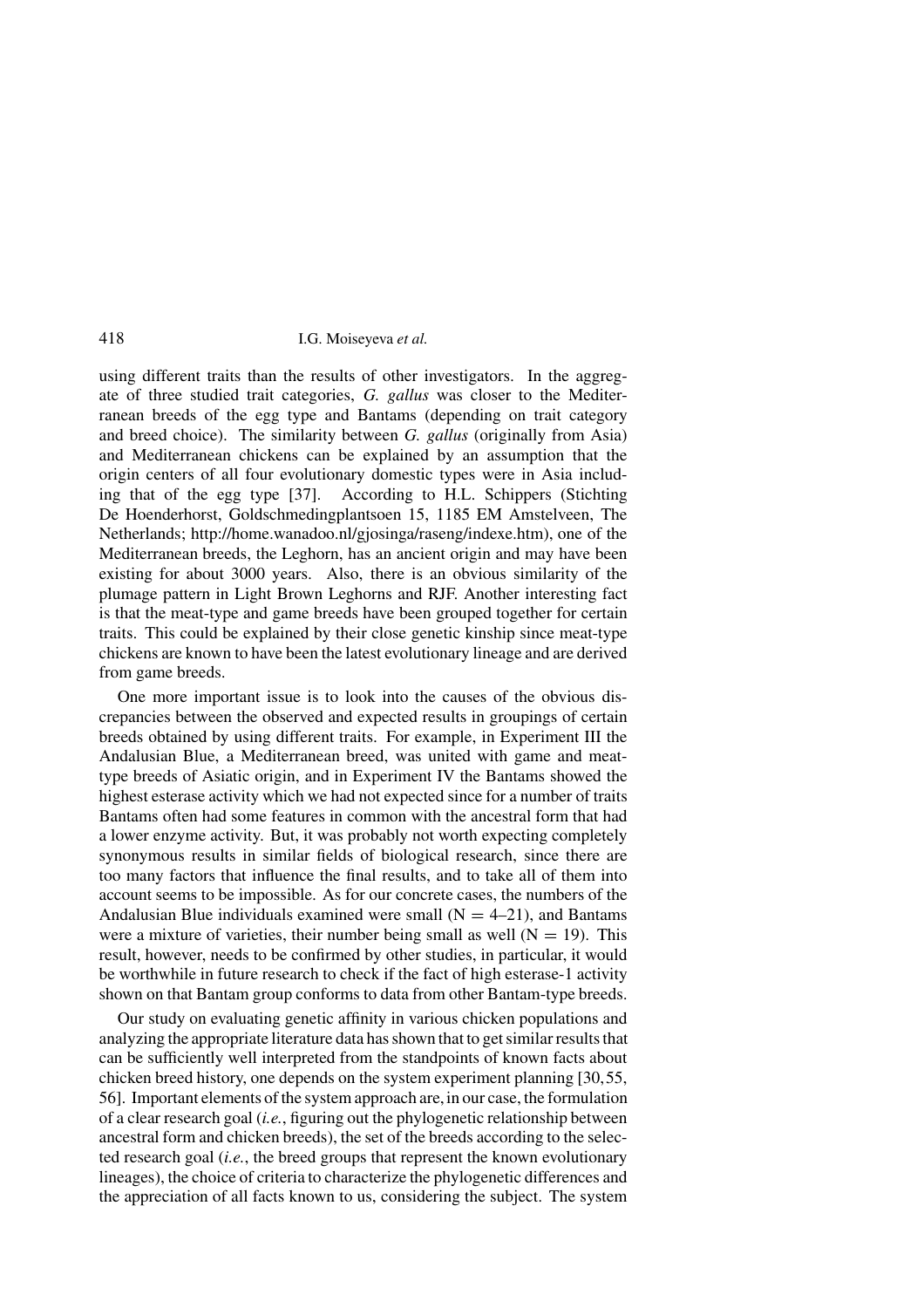using different traits than the results of other investigators. In the aggregate of three studied trait categories, *G. gallus* was closer to the Mediterranean breeds of the egg type and Bantams (depending on trait category and breed choice). The similarity between *G. gallus* (originally from Asia) and Mediterranean chickens can be explained by an assumption that the origin centers of all four evolutionary domestic types were in Asia including that of the egg type [37]. According to H.L. Schippers (Stichting De Hoenderhorst, Goldschmedingplantsoen 15, 1185 EM Amstelveen, The Netherlands; http://home.wanadoo.nl/gjosinga/raseng/indexe.htm), one of the Mediterranean breeds, the Leghorn, has an ancient origin and may have been existing for about 3000 years. Also, there is an obvious similarity of the plumage pattern in Light Brown Leghorns and RJF. Another interesting fact is that the meat-type and game breeds have been grouped together for certain traits. This could be explained by their close genetic kinship since meat-type chickens are known to have been the latest evolutionary lineage and are derived from game breeds.

One more important issue is to look into the causes of the obvious discrepancies between the observed and expected results in groupings of certain breeds obtained by using different traits. For example, in Experiment III the Andalusian Blue, a Mediterranean breed, was united with game and meattype breeds of Asiatic origin, and in Experiment IV the Bantams showed the highest esterase activity which we had not expected since for a number of traits Bantams often had some features in common with the ancestral form that had a lower enzyme activity. But, it was probably not worth expecting completely synonymous results in similar fields of biological research, since there are too many factors that influence the final results, and to take all of them into account seems to be impossible. As for our concrete cases, the numbers of the Andalusian Blue individuals examined were small  $(N = 4-21)$ , and Bantams were a mixture of varieties, their number being small as well  $(N = 19)$ . This result, however, needs to be confirmed by other studies, in particular, it would be worthwhile in future research to check if the fact of high esterase-1 activity shown on that Bantam group conforms to data from other Bantam-type breeds.

Our study on evaluating genetic affinity in various chicken populations and analyzing the appropriate literature data has shown that to get similar results that can be sufficiently well interpreted from the standpoints of known facts about chicken breed history, one depends on the system experiment planning [30,55, 56]. Important elements of the system approach are,in our case, the formulation of a clear research goal (*i.e.*, figuring out the phylogenetic relationship between ancestral form and chicken breeds), the set of the breeds according to the selected research goal (*i.e.*, the breed groups that represent the known evolutionary lineages), the choice of criteria to characterize the phylogenetic differences and the appreciation of all facts known to us, considering the subject. The system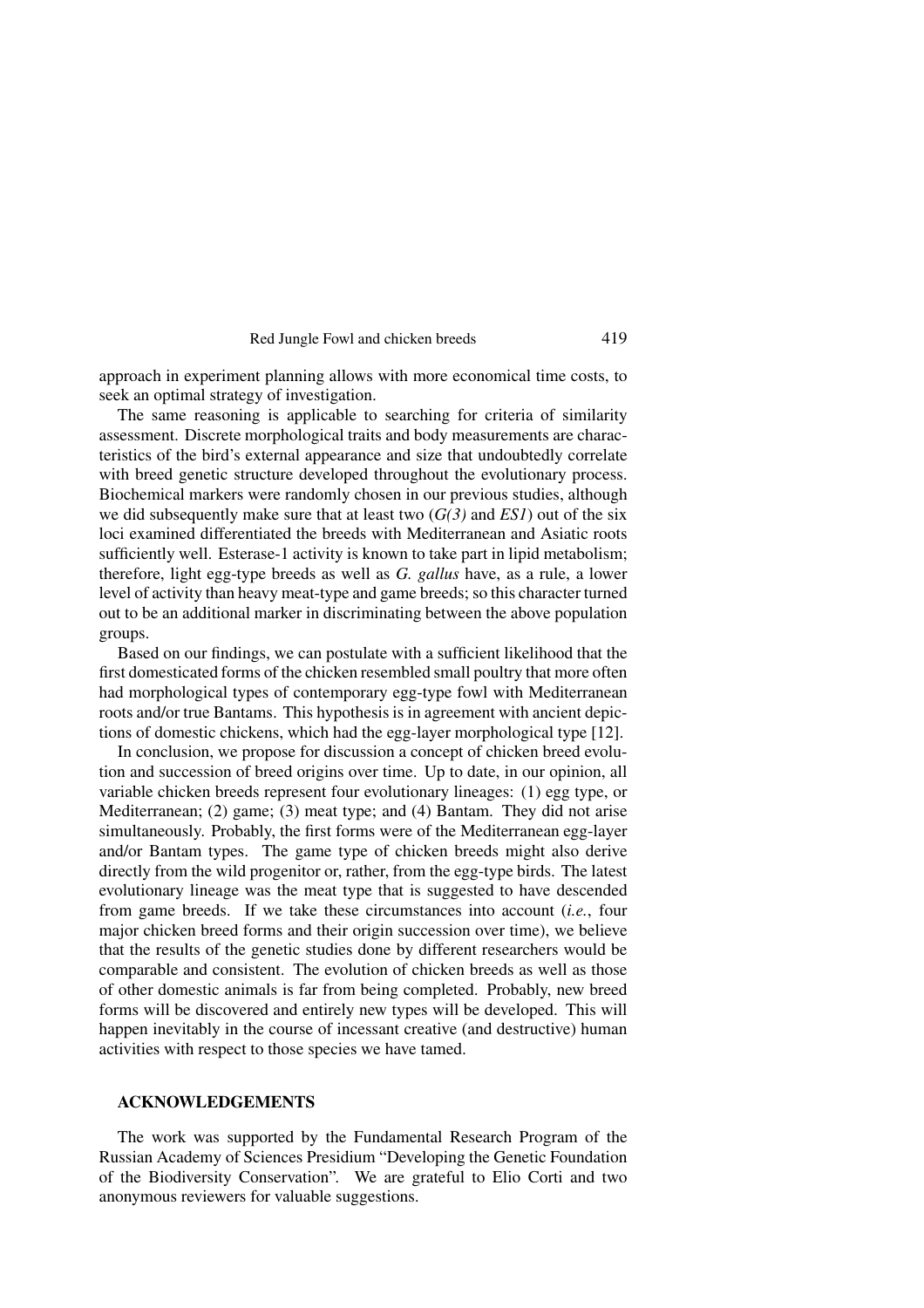approach in experiment planning allows with more economical time costs, to seek an optimal strategy of investigation.

The same reasoning is applicable to searching for criteria of similarity assessment. Discrete morphological traits and body measurements are characteristics of the bird's external appearance and size that undoubtedly correlate with breed genetic structure developed throughout the evolutionary process. Biochemical markers were randomly chosen in our previous studies, although we did subsequently make sure that at least two  $(G(3))$  and *ES1*) out of the six loci examined differentiated the breeds with Mediterranean and Asiatic roots sufficiently well. Esterase-1 activity is known to take part in lipid metabolism; therefore, light egg-type breeds as well as *G. gallus* have, as a rule, a lower level of activity than heavy meat-type and game breeds; so this character turned out to be an additional marker in discriminating between the above population groups.

Based on our findings, we can postulate with a sufficient likelihood that the first domesticated forms of the chicken resembled small poultry that more often had morphological types of contemporary egg-type fowl with Mediterranean roots and/or true Bantams. This hypothesis is in agreement with ancient depictions of domestic chickens, which had the egg-layer morphological type [12].

In conclusion, we propose for discussion a concept of chicken breed evolution and succession of breed origins over time. Up to date, in our opinion, all variable chicken breeds represent four evolutionary lineages: (1) egg type, or Mediterranean; (2) game; (3) meat type; and (4) Bantam. They did not arise simultaneously. Probably, the first forms were of the Mediterranean egg-layer and/or Bantam types. The game type of chicken breeds might also derive directly from the wild progenitor or, rather, from the egg-type birds. The latest evolutionary lineage was the meat type that is suggested to have descended from game breeds. If we take these circumstances into account (*i.e.*, four major chicken breed forms and their origin succession over time), we believe that the results of the genetic studies done by different researchers would be comparable and consistent. The evolution of chicken breeds as well as those of other domestic animals is far from being completed. Probably, new breed forms will be discovered and entirely new types will be developed. This will happen inevitably in the course of incessant creative (and destructive) human activities with respect to those species we have tamed.

#### **ACKNOWLEDGEMENTS**

The work was supported by the Fundamental Research Program of the Russian Academy of Sciences Presidium "Developing the Genetic Foundation of the Biodiversity Conservation". We are grateful to Elio Corti and two anonymous reviewers for valuable suggestions.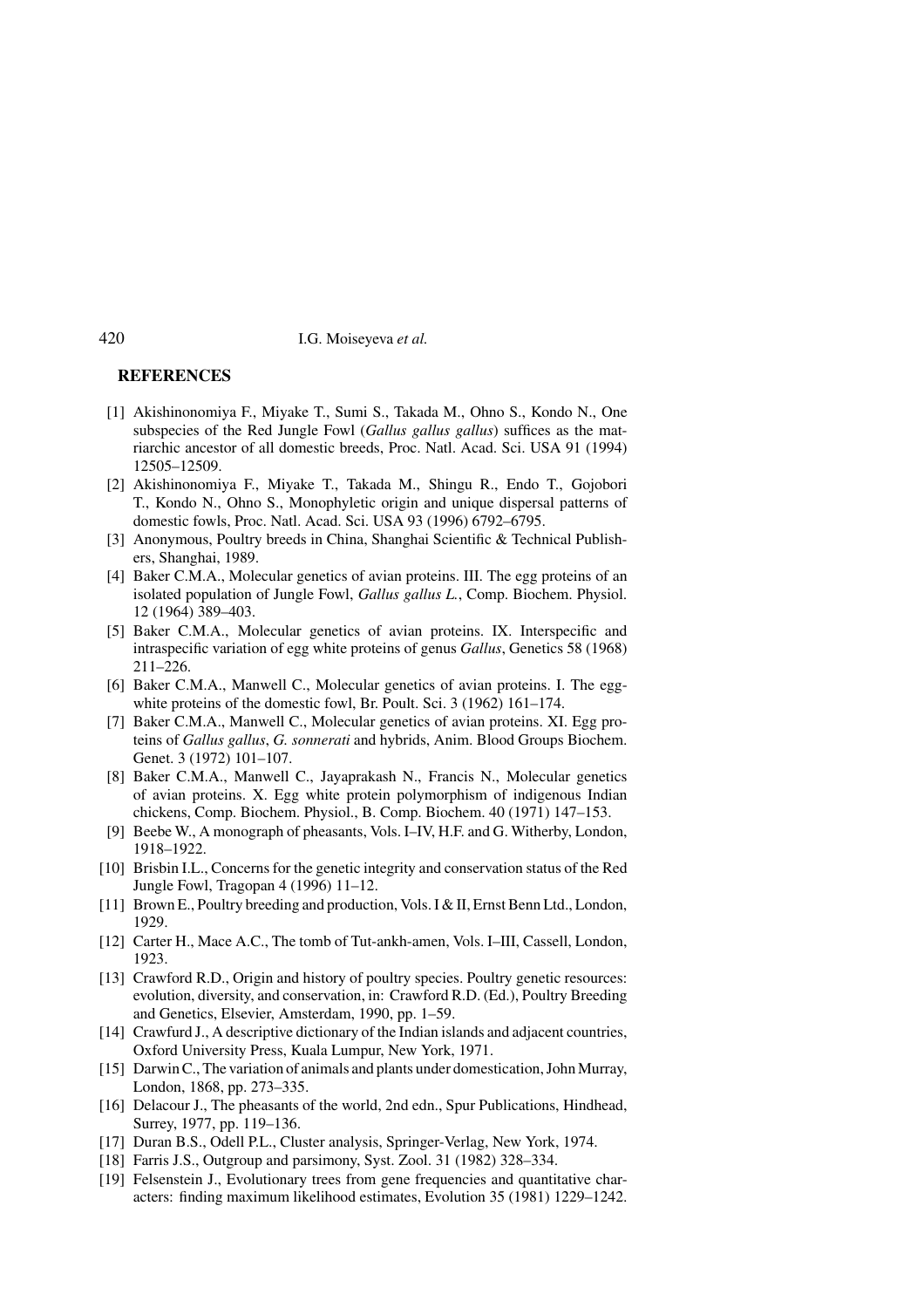#### **REFERENCES**

- [1] Akishinonomiya F., Miyake T., Sumi S., Takada M., Ohno S., Kondo N., One subspecies of the Red Jungle Fowl (*Gallus gallus gallus*) suffices as the matriarchic ancestor of all domestic breeds, Proc. Natl. Acad. Sci. USA 91 (1994) 12505–12509.
- [2] Akishinonomiya F., Miyake T., Takada M., Shingu R., Endo T., Gojobori T., Kondo N., Ohno S., Monophyletic origin and unique dispersal patterns of domestic fowls, Proc. Natl. Acad. Sci. USA 93 (1996) 6792–6795.
- [3] Anonymous, Poultry breeds in China, Shanghai Scientific & Technical Publishers, Shanghai, 1989.
- [4] Baker C.M.A., Molecular genetics of avian proteins. III. The egg proteins of an isolated population of Jungle Fowl, *Gallus gallus L.*, Comp. Biochem. Physiol. 12 (1964) 389–403.
- [5] Baker C.M.A., Molecular genetics of avian proteins. IX. Interspecific and intraspecific variation of egg white proteins of genus *Gallus*, Genetics 58 (1968) 211–226.
- [6] Baker C.M.A., Manwell C., Molecular genetics of avian proteins. I. The eggwhite proteins of the domestic fowl, Br. Poult. Sci. 3 (1962) 161–174.
- [7] Baker C.M.A., Manwell C., Molecular genetics of avian proteins. XI. Egg proteins of *Gallus gallus*, *G. sonnerati* and hybrids, Anim. Blood Groups Biochem. Genet. 3 (1972) 101–107.
- [8] Baker C.M.A., Manwell C., Jayaprakash N., Francis N., Molecular genetics of avian proteins. X. Egg white protein polymorphism of indigenous Indian chickens, Comp. Biochem. Physiol., B. Comp. Biochem. 40 (1971) 147–153.
- [9] Beebe W., A monograph of pheasants, Vols. I–IV, H.F. and G. Witherby, London, 1918–1922.
- [10] Brisbin I.L., Concerns for the genetic integrity and conservation status of the Red Jungle Fowl, Tragopan 4 (1996) 11–12.
- [11] Brown E., Poultry breeding and production, Vols. I & II, Ernst Benn Ltd., London, 1929.
- [12] Carter H., Mace A.C., The tomb of Tut-ankh-amen, Vols. I–III, Cassell, London, 1923.
- [13] Crawford R.D., Origin and history of poultry species. Poultry genetic resources: evolution, diversity, and conservation, in: Crawford R.D. (Ed.), Poultry Breeding and Genetics, Elsevier, Amsterdam, 1990, pp. 1–59.
- [14] Crawfurd J., A descriptive dictionary of the Indian islands and adjacent countries, Oxford University Press, Kuala Lumpur, New York, 1971.
- [15] Darwin C., The variation of animals and plants under domestication, John Murray, London, 1868, pp. 273–335.
- [16] Delacour J., The pheasants of the world, 2nd edn., Spur Publications, Hindhead, Surrey, 1977, pp. 119–136.
- [17] Duran B.S., Odell P.L., Cluster analysis, Springer-Verlag, New York, 1974.
- [18] Farris J.S., Outgroup and parsimony, Syst. Zool. 31 (1982) 328–334.
- [19] Felsenstein J., Evolutionary trees from gene frequencies and quantitative characters: finding maximum likelihood estimates, Evolution 35 (1981) 1229–1242.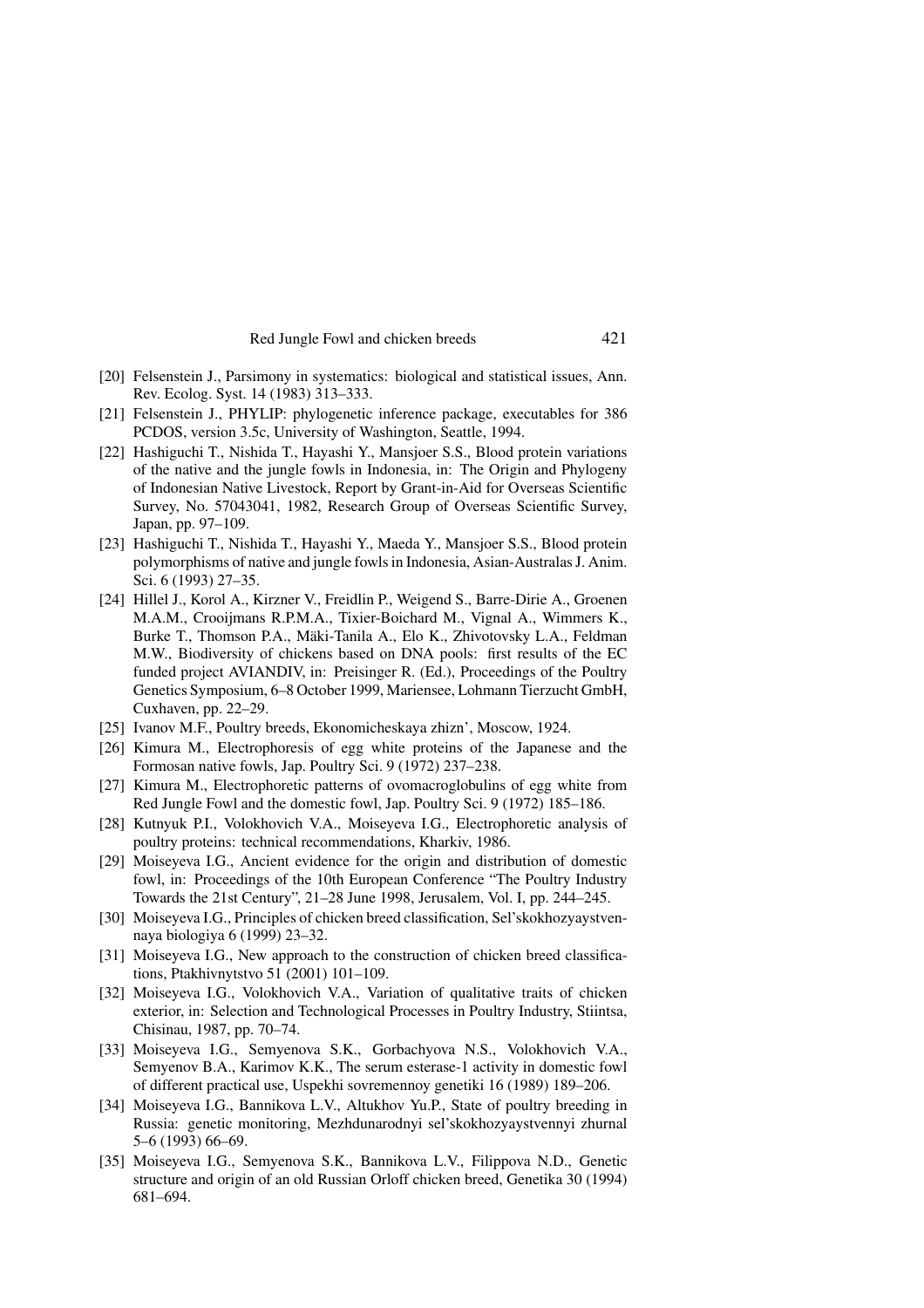- [20] Felsenstein J., Parsimony in systematics: biological and statistical issues, Ann. Rev. Ecolog. Syst. 14 (1983) 313–333.
- [21] Felsenstein J., PHYLIP: phylogenetic inference package, executables for 386 PCDOS, version 3.5c, University of Washington, Seattle, 1994.
- [22] Hashiguchi T., Nishida T., Hayashi Y., Mansjoer S.S., Blood protein variations of the native and the jungle fowls in Indonesia, in: The Origin and Phylogeny of Indonesian Native Livestock, Report by Grant-in-Aid for Overseas Scientific Survey, No. 57043041, 1982, Research Group of Overseas Scientific Survey, Japan, pp. 97–109.
- [23] Hashiguchi T., Nishida T., Hayashi Y., Maeda Y., Mansjoer S.S., Blood protein polymorphisms of native and jungle fowls in Indonesia, Asian-Australas J. Anim. Sci. 6 (1993) 27–35.
- [24] Hillel J., Korol A., Kirzner V., Freidlin P., Weigend S., Barre-Dirie A., Groenen M.A.M., Crooijmans R.P.M.A., Tixier-Boichard M., Vignal A., Wimmers K., Burke T., Thomson P.A., Mäki-Tanila A., Elo K., Zhivotovsky L.A., Feldman M.W., Biodiversity of chickens based on DNA pools: first results of the EC funded project AVIANDIV, in: Preisinger R. (Ed.), Proceedings of the Poultry Genetics Symposium, 6–8 October 1999, Mariensee, Lohmann Tierzucht GmbH, Cuxhaven, pp. 22–29.
- [25] Ivanov M.F., Poultry breeds, Ekonomicheskaya zhizn', Moscow, 1924.
- [26] Kimura M., Electrophoresis of egg white proteins of the Japanese and the Formosan native fowls, Jap. Poultry Sci. 9 (1972) 237–238.
- [27] Kimura M., Electrophoretic patterns of ovomacroglobulins of egg white from Red Jungle Fowl and the domestic fowl, Jap. Poultry Sci. 9 (1972) 185–186.
- [28] Kutnyuk P.I., Volokhovich V.A., Moiseyeva I.G., Electrophoretic analysis of poultry proteins: technical recommendations, Kharkiv, 1986.
- [29] Moiseyeva I.G., Ancient evidence for the origin and distribution of domestic fowl, in: Proceedings of the 10th European Conference "The Poultry Industry Towards the 21st Century", 21–28 June 1998, Jerusalem, Vol. I, pp. 244–245.
- [30] Moiseyeva I.G., Principles of chicken breed classification, Sel'skokhozyaystvennaya biologiya 6 (1999) 23–32.
- [31] Moiseyeva I.G., New approach to the construction of chicken breed classifications, Ptakhivnytstvo 51 (2001) 101–109.
- [32] Moiseyeva I.G., Volokhovich V.A., Variation of qualitative traits of chicken exterior, in: Selection and Technological Processes in Poultry Industry, Stiintsa, Chisinau, 1987, pp. 70–74.
- [33] Moiseyeva I.G., Semyenova S.K., Gorbachyova N.S., Volokhovich V.A., Semyenov B.A., Karimov K.K., The serum esterase-1 activity in domestic fowl of different practical use, Uspekhi sovremennoy genetiki 16 (1989) 189–206.
- [34] Moiseyeva I.G., Bannikova L.V., Altukhov Yu.P., State of poultry breeding in Russia: genetic monitoring, Mezhdunarodnyi sel'skokhozyaystvennyi zhurnal 5–6 (1993) 66–69.
- [35] Moiseyeva I.G., Semyenova S.K., Bannikova L.V., Filippova N.D., Genetic structure and origin of an old Russian Orloff chicken breed, Genetika 30 (1994) 681–694.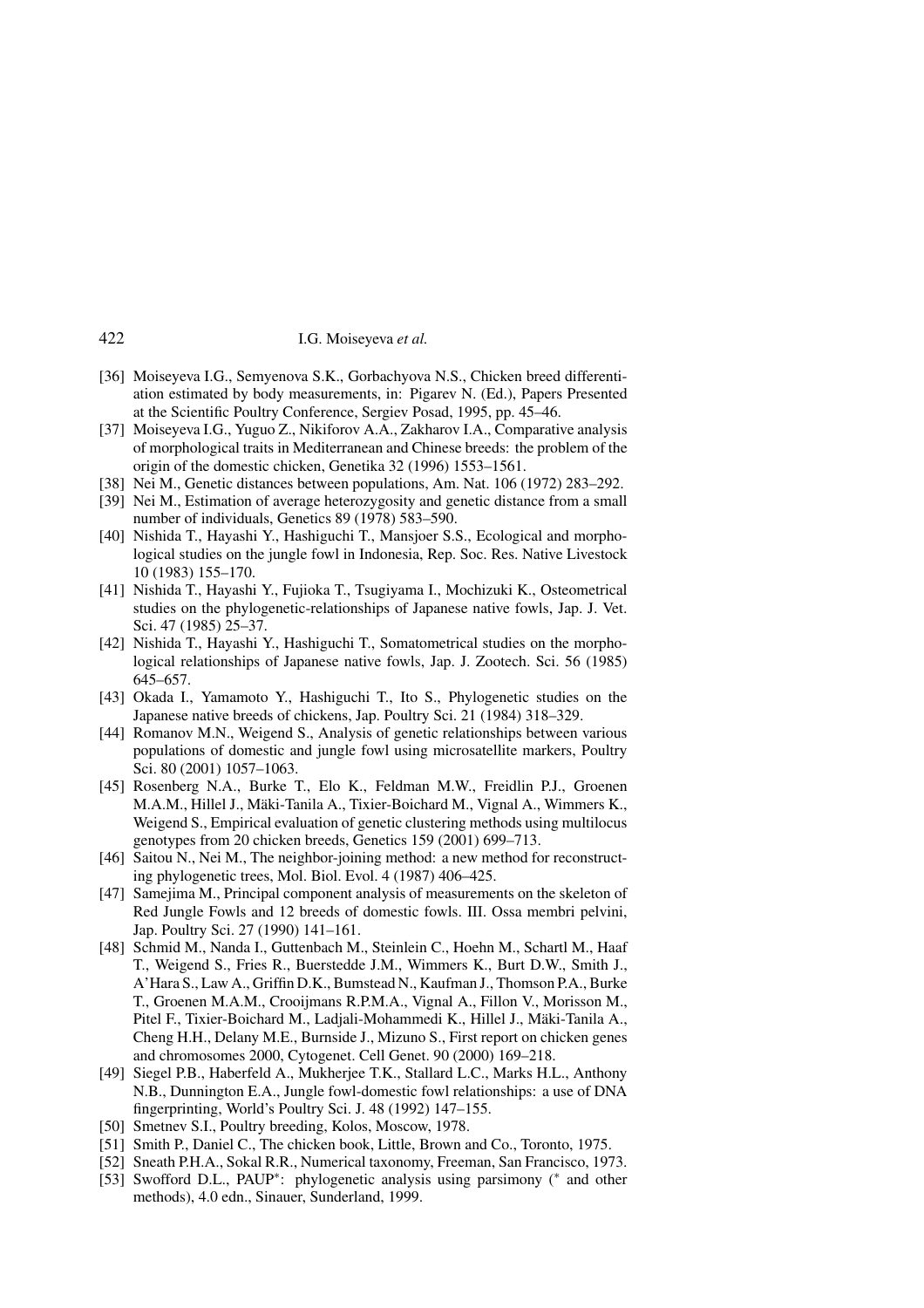- [36] Moiseyeva I.G., Semyenova S.K., Gorbachyova N.S., Chicken breed differentiation estimated by body measurements, in: Pigarev N. (Ed.), Papers Presented at the Scientific Poultry Conference, Sergiev Posad, 1995, pp. 45–46.
- [37] Moiseyeva I.G., Yuguo Z., Nikiforov A.A., Zakharov I.A., Comparative analysis of morphological traits in Mediterranean and Chinese breeds: the problem of the origin of the domestic chicken, Genetika 32 (1996) 1553–1561.
- [38] Nei M., Genetic distances between populations, Am. Nat. 106 (1972) 283–292.
- [39] Nei M., Estimation of average heterozygosity and genetic distance from a small number of individuals, Genetics 89 (1978) 583–590.
- [40] Nishida T., Hayashi Y., Hashiguchi T., Mansjoer S.S., Ecological and morphological studies on the jungle fowl in Indonesia, Rep. Soc. Res. Native Livestock 10 (1983) 155–170.
- [41] Nishida T., Hayashi Y., Fujioka T., Tsugiyama I., Mochizuki K., Osteometrical studies on the phylogenetic-relationships of Japanese native fowls, Jap. J. Vet. Sci. 47 (1985) 25–37.
- [42] Nishida T., Hayashi Y., Hashiguchi T., Somatometrical studies on the morphological relationships of Japanese native fowls, Jap. J. Zootech. Sci. 56 (1985) 645–657.
- [43] Okada I., Yamamoto Y., Hashiguchi T., Ito S., Phylogenetic studies on the Japanese native breeds of chickens, Jap. Poultry Sci. 21 (1984) 318–329.
- [44] Romanov M.N., Weigend S., Analysis of genetic relationships between various populations of domestic and jungle fowl using microsatellite markers, Poultry Sci. 80 (2001) 1057–1063.
- [45] Rosenberg N.A., Burke T., Elo K., Feldman M.W., Freidlin P.J., Groenen M.A.M., Hillel J., Mäki-Tanila A., Tixier-Boichard M., Vignal A., Wimmers K., Weigend S., Empirical evaluation of genetic clustering methods using multilocus genotypes from 20 chicken breeds, Genetics 159 (2001) 699–713.
- [46] Saitou N., Nei M., The neighbor-joining method: a new method for reconstructing phylogenetic trees, Mol. Biol. Evol. 4 (1987) 406–425.
- [47] Samejima M., Principal component analysis of measurements on the skeleton of Red Jungle Fowls and 12 breeds of domestic fowls. III. Ossa membri pelvini, Jap. Poultry Sci. 27 (1990) 141–161.
- [48] Schmid M., Nanda I., Guttenbach M., Steinlein C., Hoehn M., Schartl M., Haaf T., Weigend S., Fries R., Buerstedde J.M., Wimmers K., Burt D.W., Smith J., A'Hara S., Law A., Griffin D.K., Bumstead N., Kaufman J., Thomson P.A., Burke T., Groenen M.A.M., Crooijmans R.P.M.A., Vignal A., Fillon V., Morisson M., Pitel F., Tixier-Boichard M., Ladjali-Mohammedi K., Hillel J., Mäki-Tanila A., Cheng H.H., Delany M.E., Burnside J., Mizuno S., First report on chicken genes and chromosomes 2000, Cytogenet. Cell Genet. 90 (2000) 169–218.
- [49] Siegel P.B., Haberfeld A., Mukherjee T.K., Stallard L.C., Marks H.L., Anthony N.B., Dunnington E.A., Jungle fowl-domestic fowl relationships: a use of DNA fingerprinting, World's Poultry Sci. J. 48 (1992) 147–155.
- [50] Smetnev S.I., Poultry breeding, Kolos, Moscow, 1978.
- [51] Smith P., Daniel C., The chicken book, Little, Brown and Co., Toronto, 1975.
- [52] Sneath P.H.A., Sokal R.R., Numerical taxonomy, Freeman, San Francisco, 1973.
- [53] Swofford D.L., PAUP<sup>\*</sup>: phylogenetic analysis using parsimony (\* and other methods), 4.0 edn., Sinauer, Sunderland, 1999.